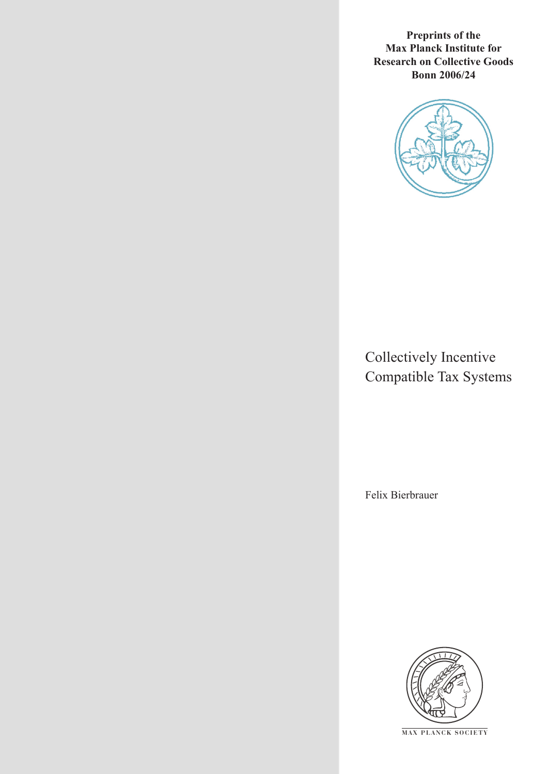**Preprints of the Max Planck Institute for Research on Collective Goods Bonn 2006/24**



# Collectively Incentive Compatible Tax Systems

Felix Bierbrauer



**M AX P L A N C K S O C I E T Y**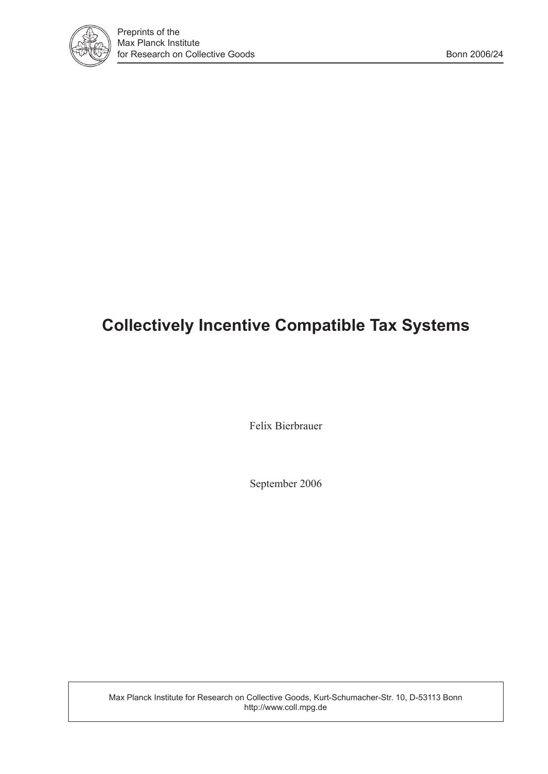

# **Collectively Incentive Compatible Tax Systems**

Felix Bierbrauer

September 2006

Max Planck Institute for Research on Collective Goods, Kurt-Schumacher-Str. 10, D-53113 Bonn http://www.coll.mpg.de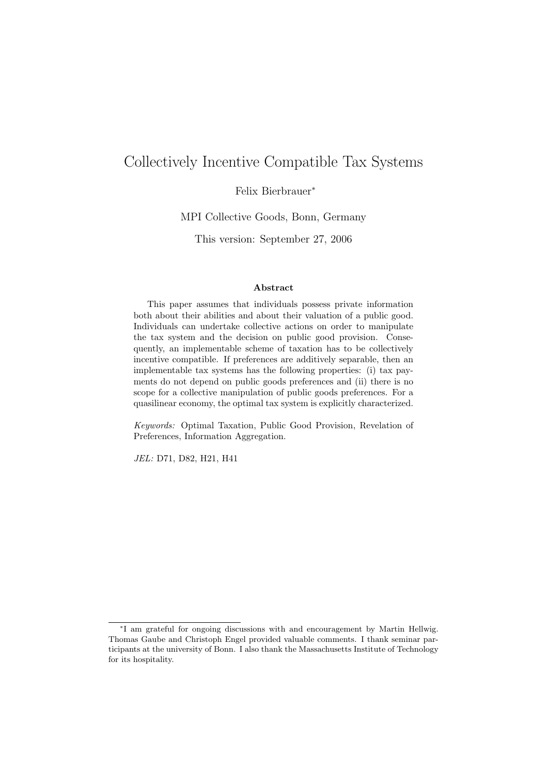## Collectively Incentive Compatible Tax Systems

Felix Bierbrauer<sup>∗</sup>

MPI Collective Goods, Bonn, Germany

This version: September 27, 2006

#### Abstract

This paper assumes that individuals possess private information both about their abilities and about their valuation of a public good. Individuals can undertake collective actions on order to manipulate the tax system and the decision on public good provision. Consequently, an implementable scheme of taxation has to be collectively incentive compatible. If preferences are additively separable, then an implementable tax systems has the following properties: (i) tax payments do not depend on public goods preferences and (ii) there is no scope for a collective manipulation of public goods preferences. For a quasilinear economy, the optimal tax system is explicitly characterized.

Keywords: Optimal Taxation, Public Good Provision, Revelation of Preferences, Information Aggregation.

JEL: D71, D82, H21, H41

<sup>∗</sup> I am grateful for ongoing discussions with and encouragement by Martin Hellwig. Thomas Gaube and Christoph Engel provided valuable comments. I thank seminar participants at the university of Bonn. I also thank the Massachusetts Institute of Technology for its hospitality.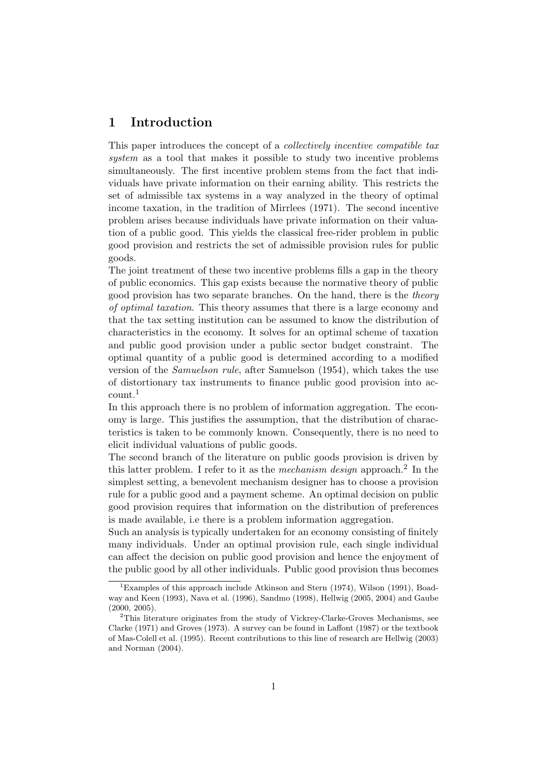#### 1 Introduction

This paper introduces the concept of a collectively incentive compatible tax system as a tool that makes it possible to study two incentive problems simultaneously. The first incentive problem stems from the fact that individuals have private information on their earning ability. This restricts the set of admissible tax systems in a way analyzed in the theory of optimal income taxation, in the tradition of Mirrlees (1971). The second incentive problem arises because individuals have private information on their valuation of a public good. This yields the classical free-rider problem in public good provision and restricts the set of admissible provision rules for public goods.

The joint treatment of these two incentive problems fills a gap in the theory of public economics. This gap exists because the normative theory of public good provision has two separate branches. On the hand, there is the theory of optimal taxation. This theory assumes that there is a large economy and that the tax setting institution can be assumed to know the distribution of characteristics in the economy. It solves for an optimal scheme of taxation and public good provision under a public sector budget constraint. The optimal quantity of a public good is determined according to a modified version of the Samuelson rule, after Samuelson (1954), which takes the use of distortionary tax instruments to finance public good provision into account.<sup>1</sup>

In this approach there is no problem of information aggregation. The economy is large. This justifies the assumption, that the distribution of characteristics is taken to be commonly known. Consequently, there is no need to elicit individual valuations of public goods.

The second branch of the literature on public goods provision is driven by this latter problem. I refer to it as the *mechanism design* approach.<sup>2</sup> In the simplest setting, a benevolent mechanism designer has to choose a provision rule for a public good and a payment scheme. An optimal decision on public good provision requires that information on the distribution of preferences is made available, i.e there is a problem information aggregation.

Such an analysis is typically undertaken for an economy consisting of finitely many individuals. Under an optimal provision rule, each single individual can affect the decision on public good provision and hence the enjoyment of the public good by all other individuals. Public good provision thus becomes

<sup>&</sup>lt;sup>1</sup>Examples of this approach include Atkinson and Stern (1974), Wilson (1991), Boadway and Keen (1993), Nava et al. (1996), Sandmo (1998), Hellwig (2005, 2004) and Gaube (2000, 2005).

<sup>&</sup>lt;sup>2</sup>This literature originates from the study of Vickrey-Clarke-Groves Mechanisms, see Clarke (1971) and Groves (1973). A survey can be found in Laffont (1987) or the textbook of Mas-Colell et al. (1995). Recent contributions to this line of research are Hellwig (2003) and Norman (2004).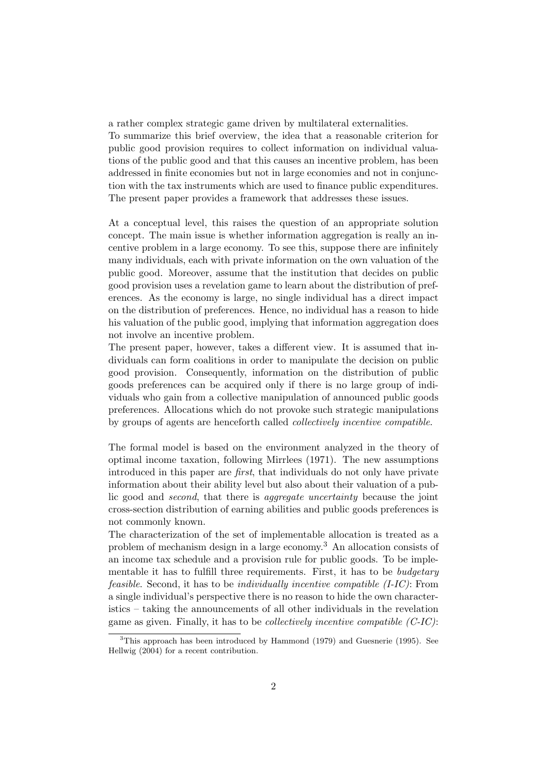a rather complex strategic game driven by multilateral externalities.

To summarize this brief overview, the idea that a reasonable criterion for public good provision requires to collect information on individual valuations of the public good and that this causes an incentive problem, has been addressed in finite economies but not in large economies and not in conjunction with the tax instruments which are used to finance public expenditures. The present paper provides a framework that addresses these issues.

At a conceptual level, this raises the question of an appropriate solution concept. The main issue is whether information aggregation is really an incentive problem in a large economy. To see this, suppose there are infinitely many individuals, each with private information on the own valuation of the public good. Moreover, assume that the institution that decides on public good provision uses a revelation game to learn about the distribution of preferences. As the economy is large, no single individual has a direct impact on the distribution of preferences. Hence, no individual has a reason to hide his valuation of the public good, implying that information aggregation does not involve an incentive problem.

The present paper, however, takes a different view. It is assumed that individuals can form coalitions in order to manipulate the decision on public good provision. Consequently, information on the distribution of public goods preferences can be acquired only if there is no large group of individuals who gain from a collective manipulation of announced public goods preferences. Allocations which do not provoke such strategic manipulations by groups of agents are henceforth called collectively incentive compatible.

The formal model is based on the environment analyzed in the theory of optimal income taxation, following Mirrlees (1971). The new assumptions introduced in this paper are first, that individuals do not only have private information about their ability level but also about their valuation of a public good and second, that there is aggregate uncertainty because the joint cross-section distribution of earning abilities and public goods preferences is not commonly known.

The characterization of the set of implementable allocation is treated as a problem of mechanism design in a large economy.<sup>3</sup> An allocation consists of an income tax schedule and a provision rule for public goods. To be implementable it has to fulfill three requirements. First, it has to be *budgetary* feasible. Second, it has to be individually incentive compatible (I-IC): From a single individual's perspective there is no reason to hide the own characteristics – taking the announcements of all other individuals in the revelation game as given. Finally, it has to be *collectively incentive compatible*  $(C\text{-}IC)$ :

<sup>3</sup>This approach has been introduced by Hammond (1979) and Guesnerie (1995). See Hellwig (2004) for a recent contribution.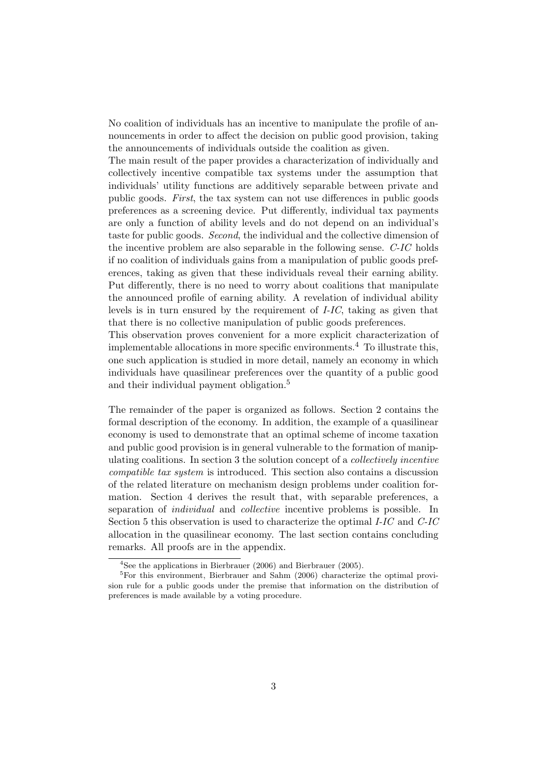No coalition of individuals has an incentive to manipulate the profile of announcements in order to affect the decision on public good provision, taking the announcements of individuals outside the coalition as given.

The main result of the paper provides a characterization of individually and collectively incentive compatible tax systems under the assumption that individuals' utility functions are additively separable between private and public goods. First, the tax system can not use differences in public goods preferences as a screening device. Put differently, individual tax payments are only a function of ability levels and do not depend on an individual's taste for public goods. Second, the individual and the collective dimension of the incentive problem are also separable in the following sense. C-IC holds if no coalition of individuals gains from a manipulation of public goods preferences, taking as given that these individuals reveal their earning ability. Put differently, there is no need to worry about coalitions that manipulate the announced profile of earning ability. A revelation of individual ability levels is in turn ensured by the requirement of I-IC, taking as given that that there is no collective manipulation of public goods preferences.

This observation proves convenient for a more explicit characterization of implementable allocations in more specific environments.<sup>4</sup> To illustrate this, one such application is studied in more detail, namely an economy in which individuals have quasilinear preferences over the quantity of a public good and their individual payment obligation.<sup>5</sup>

The remainder of the paper is organized as follows. Section 2 contains the formal description of the economy. In addition, the example of a quasilinear economy is used to demonstrate that an optimal scheme of income taxation and public good provision is in general vulnerable to the formation of manipulating coalitions. In section 3 the solution concept of a collectively incentive compatible tax system is introduced. This section also contains a discussion of the related literature on mechanism design problems under coalition formation. Section 4 derives the result that, with separable preferences, a separation of individual and collective incentive problems is possible. In Section 5 this observation is used to characterize the optimal I-IC and C-IC allocation in the quasilinear economy. The last section contains concluding remarks. All proofs are in the appendix.

<sup>&</sup>lt;sup>4</sup>See the applications in Bierbrauer  $(2006)$  and Bierbrauer  $(2005)$ .

<sup>5</sup>For this environment, Bierbrauer and Sahm (2006) characterize the optimal provision rule for a public goods under the premise that information on the distribution of preferences is made available by a voting procedure.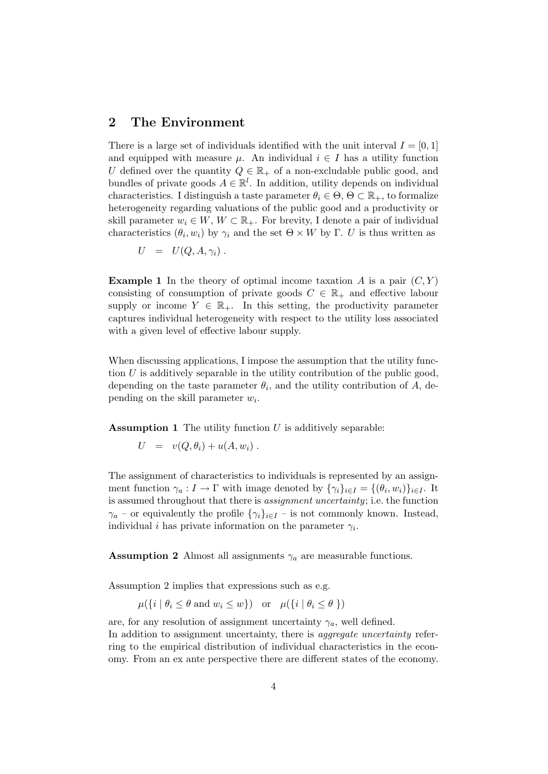#### 2 The Environment

There is a large set of individuals identified with the unit interval  $I = [0, 1]$ and equipped with measure  $\mu$ . An individual  $i \in I$  has a utility function U defined over the quantity  $Q \in \mathbb{R}_+$  of a non-excludable public good, and bundles of private goods  $A \in \mathbb{R}^l$ . In addition, utility depends on individual characteristics. I distinguish a taste parameter  $\theta_i \in \Theta$ ,  $\Theta \subset \mathbb{R}_+$ , to formalize heterogeneity regarding valuations of the public good and a productivity or skill parameter  $w_i \in W$ ,  $W \subset \mathbb{R}_+$ . For brevity, I denote a pair of individual characteristics  $(\theta_i, w_i)$  by  $\gamma_i$  and the set  $\Theta \times W$  by  $\Gamma$ . U is thus written as

$$
U = U(Q, A, \gamma_i) .
$$

**Example 1** In the theory of optimal income taxation A is a pair  $(C, Y)$ consisting of consumption of private goods  $C \in \mathbb{R}_+$  and effective labour supply or income  $Y \in \mathbb{R}_+$ . In this setting, the productivity parameter captures individual heterogeneity with respect to the utility loss associated with a given level of effective labour supply.

When discussing applications, I impose the assumption that the utility function U is additively separable in the utility contribution of the public good, depending on the taste parameter  $\theta_i$ , and the utility contribution of A, depending on the skill parameter  $w_i$ .

**Assumption 1** The utility function  $U$  is additively separable:

$$
U = v(Q, \theta_i) + u(A, w_i) .
$$

The assignment of characteristics to individuals is represented by an assignment function  $\gamma_a: I \to \Gamma$  with image denoted by  $\{\gamma_i\}_{i \in I} = \{(\theta_i, w_i)\}_{i \in I}$ . It is assumed throughout that there is assignment uncertainty; i.e. the function  $\gamma_a$  – or equivalently the profile  $\{\gamma_i\}_{i\in I}$  – is not commonly known. Instead, individual *i* has private information on the parameter  $\gamma_i$ .

**Assumption 2** Almost all assignments  $\gamma_a$  are measurable functions.

Assumption 2 implies that expressions such as e.g.

$$
\mu(\{i \mid \theta_i \le \theta \text{ and } w_i \le w\}) \quad \text{or} \quad \mu(\{i \mid \theta_i \le \theta\})
$$

are, for any resolution of assignment uncertainty  $\gamma_a$ , well defined. In addition to assignment uncertainty, there is *aggregate uncertainty* referring to the empirical distribution of individual characteristics in the economy. From an ex ante perspective there are different states of the economy.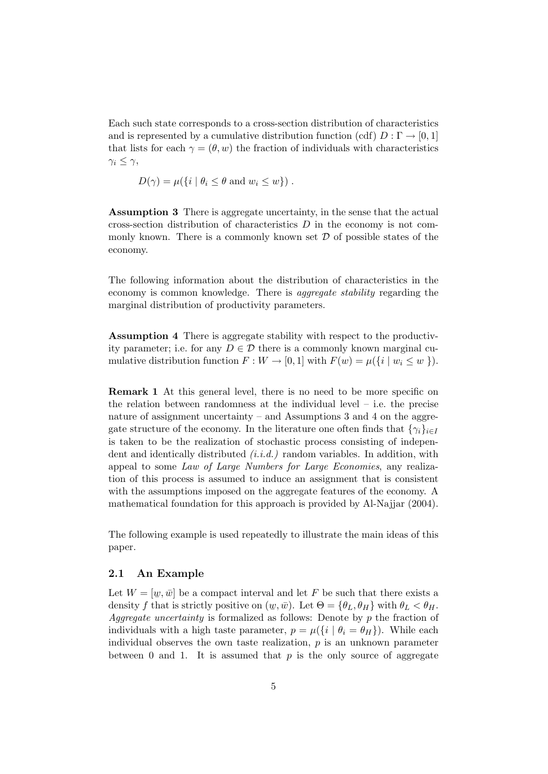Each such state corresponds to a cross-section distribution of characteristics and is represented by a cumulative distribution function (cdf)  $D : \Gamma \to [0, 1]$ that lists for each  $\gamma = (\theta, w)$  the fraction of individuals with characteristics  $\gamma_i \leq \gamma$ ,

$$
D(\gamma) = \mu(\{i \mid \theta_i \le \theta \text{ and } w_i \le w\}).
$$

Assumption 3 There is aggregate uncertainty, in the sense that the actual cross-section distribution of characteristics  $D$  in the economy is not commonly known. There is a commonly known set  $D$  of possible states of the economy.

The following information about the distribution of characteristics in the economy is common knowledge. There is aggregate stability regarding the marginal distribution of productivity parameters.

Assumption 4 There is aggregate stability with respect to the productivity parameter; i.e. for any  $D \in \mathcal{D}$  there is a commonly known marginal cumulative distribution function  $F: W \to [0, 1]$  with  $F(w) = \mu({i | w_i \leq w}).$ 

Remark 1 At this general level, there is no need to be more specific on the relation between randomness at the individual level  $-$  i.e. the precise nature of assignment uncertainty – and Assumptions 3 and 4 on the aggregate structure of the economy. In the literature one often finds that  $\{\gamma_i\}_{i\in I}$ is taken to be the realization of stochastic process consisting of independent and identically distributed  $(i.i.d.)$  random variables. In addition, with appeal to some Law of Large Numbers for Large Economies, any realization of this process is assumed to induce an assignment that is consistent with the assumptions imposed on the aggregate features of the economy. A mathematical foundation for this approach is provided by Al-Najjar (2004).

The following example is used repeatedly to illustrate the main ideas of this paper.

#### 2.1 An Example

Let  $W = [\underline{w}, \overline{w}]$  be a compact interval and let F be such that there exists a density f that is strictly positive on  $(\underline{w}, \overline{w})$ . Let  $\Theta = {\theta_L, \theta_H}$  with  $\theta_L < \theta_H$ . Aggregate uncertainty is formalized as follows: Denote by p the fraction of individuals with a high taste parameter,  $p = \mu({i | \theta_i = \theta_H})$ . While each individual observes the own taste realization,  $p$  is an unknown parameter between 0 and 1. It is assumed that  $p$  is the only source of aggregate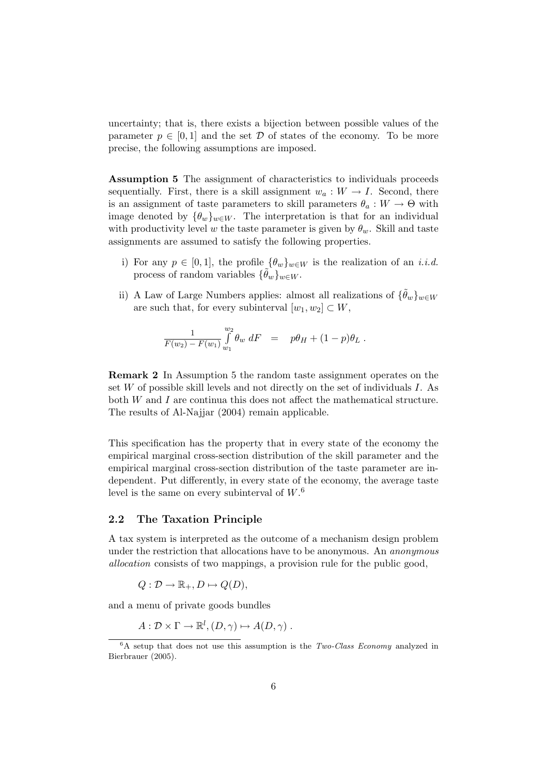uncertainty; that is, there exists a bijection between possible values of the parameter  $p \in [0, 1]$  and the set D of states of the economy. To be more precise, the following assumptions are imposed.

Assumption 5 The assignment of characteristics to individuals proceeds sequentially. First, there is a skill assignment  $w_a: W \to I$ . Second, there is an assignment of taste parameters to skill parameters  $\theta_a : W \to \Theta$  with image denoted by  $\{\theta_w\}_{w\in W}$ . The interpretation is that for an individual with productivity level w the taste parameter is given by  $\theta_w$ . Skill and taste assignments are assumed to satisfy the following properties.

- i) For any  $p \in [0, 1]$ , the profile  $\{\theta_w\}_{w \in W}$  is the realization of an i.i.d. process of random variables  $\{\tilde{\theta}_w\}_{w\in W}$ .
- ii) A Law of Large Numbers applies: almost all realizations of  $\{\tilde{\theta}_w\}_{w \in W}$ are such that, for every subinterval  $[w_1, w_2] \subset W$ ,

$$
\frac{1}{F(w_2) - F(w_1)} \int_{w_1}^{w_2} \theta_w \, dF = p\theta_H + (1-p)\theta_L \, .
$$

Remark 2 In Assumption 5 the random taste assignment operates on the set  $W$  of possible skill levels and not directly on the set of individuals  $I$ . As both  $W$  and  $I$  are continua this does not affect the mathematical structure. The results of Al-Najjar (2004) remain applicable.

This specification has the property that in every state of the economy the empirical marginal cross-section distribution of the skill parameter and the empirical marginal cross-section distribution of the taste parameter are independent. Put differently, in every state of the economy, the average taste level is the same on every subinterval of  $W$ .<sup>6</sup>

#### 2.2 The Taxation Principle

A tax system is interpreted as the outcome of a mechanism design problem under the restriction that allocations have to be anonymous. An anonymous allocation consists of two mappings, a provision rule for the public good,

$$
Q: \mathcal{D} \to \mathbb{R}_+, D \mapsto Q(D),
$$

and a menu of private goods bundles

$$
A: \mathcal{D} \times \Gamma \to \mathbb{R}^l, (D, \gamma) \mapsto A(D, \gamma) .
$$

 ${}^{6}$ A setup that does not use this assumption is the Two-Class Economy analyzed in Bierbrauer (2005).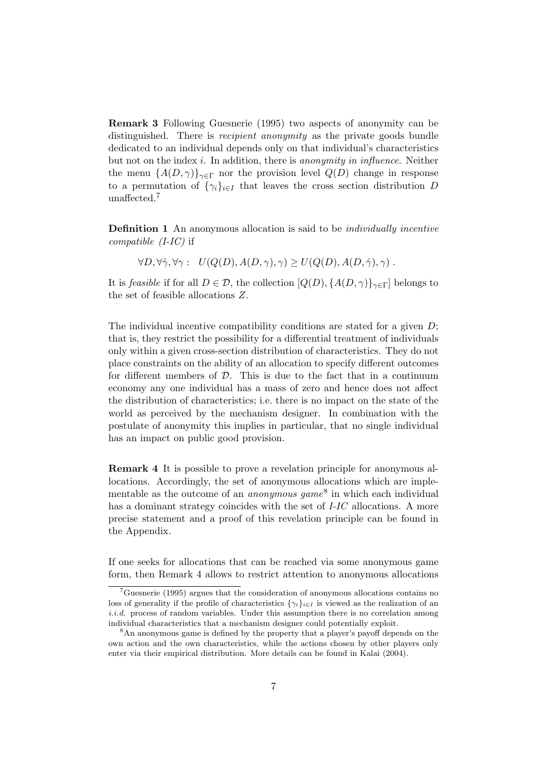Remark 3 Following Guesnerie (1995) two aspects of anonymity can be distinguished. There is *recipient anonymity* as the private goods bundle dedicated to an individual depends only on that individual's characteristics but not on the index i. In addition, there is anonymity in influence. Neither the menu  ${A(D, \gamma)}_{\gamma \in \Gamma}$  nor the provision level  $Q(D)$  change in response to a permutation of  $\{\gamma_i\}_{i\in I}$  that leaves the cross section distribution D unaffected.<sup>7</sup>

Definition 1 An anonymous allocation is said to be individually incentive compatible  $(I-IC)$  if

 $\forall D, \forall \hat{\gamma}, \forall \gamma: U(Q(D), A(D, \gamma), \gamma) \geq U(Q(D), A(D, \hat{\gamma}), \gamma)$ .

It is *feasible* if for all  $D \in \mathcal{D}$ , the collection  $[Q(D), \{A(D, \gamma)\}_{\gamma \in \Gamma}]$  belongs to the set of feasible allocations Z.

The individual incentive compatibility conditions are stated for a given  $D$ ; that is, they restrict the possibility for a differential treatment of individuals only within a given cross-section distribution of characteristics. They do not place constraints on the ability of an allocation to specify different outcomes for different members of  $D$ . This is due to the fact that in a continuum economy any one individual has a mass of zero and hence does not affect the distribution of characteristics; i.e. there is no impact on the state of the world as perceived by the mechanism designer. In combination with the postulate of anonymity this implies in particular, that no single individual has an impact on public good provision.

Remark 4 It is possible to prove a revelation principle for anonymous allocations. Accordingly, the set of anonymous allocations which are implementable as the outcome of an *anonymous game*<sup>8</sup> in which each individual has a dominant strategy coincides with the set of I-IC allocations. A more precise statement and a proof of this revelation principle can be found in the Appendix.

If one seeks for allocations that can be reached via some anonymous game form, then Remark 4 allows to restrict attention to anonymous allocations

<sup>7</sup>Guesnerie (1995) argues that the consideration of anonymous allocations contains no loss of generality if the profile of characteristics  $\{\gamma_i\}_{i\in I}$  is viewed as the realization of an *i.i.d.* process of random variables. Under this assumption there is no correlation among individual characteristics that a mechanism designer could potentially exploit.

<sup>&</sup>lt;sup>8</sup>An anonymous game is defined by the property that a player's payoff depends on the own action and the own characteristics, while the actions chosen by other players only enter via their empirical distribution. More details can be found in Kalai (2004).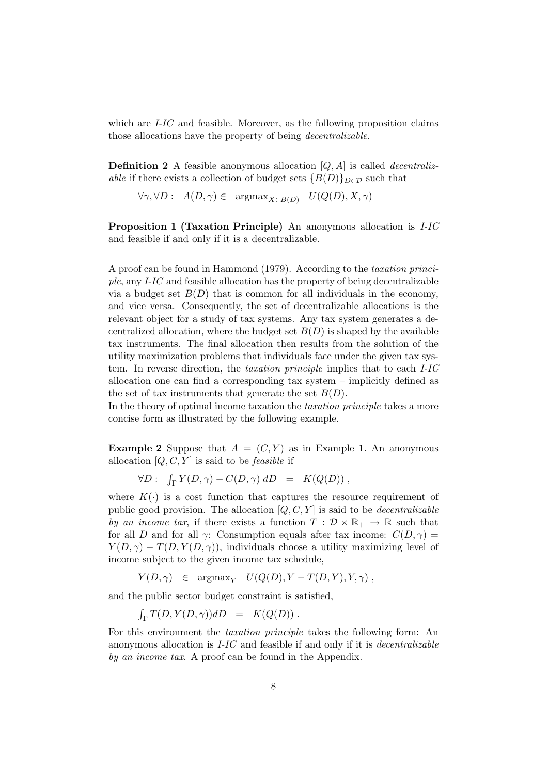which are I-IC and feasible. Moreover, as the following proposition claims those allocations have the property of being decentralizable.

**Definition 2** A feasible anonymous allocation  $[Q, A]$  is called *decentraliz*able if there exists a collection of budget sets  ${B(D)}_{D \in D}$  such that

 $\forall \gamma, \forall D: A(D, \gamma) \in \text{argmax}_{X \in B(D)} U(Q(D), X, \gamma)$ 

Proposition 1 (Taxation Principle) An anonymous allocation is I-IC and feasible if and only if it is a decentralizable.

A proof can be found in Hammond (1979). According to the taxation principle, any I-IC and feasible allocation has the property of being decentralizable via a budget set  $B(D)$  that is common for all individuals in the economy, and vice versa. Consequently, the set of decentralizable allocations is the relevant object for a study of tax systems. Any tax system generates a decentralized allocation, where the budget set  $B(D)$  is shaped by the available tax instruments. The final allocation then results from the solution of the utility maximization problems that individuals face under the given tax system. In reverse direction, the taxation principle implies that to each I-IC allocation one can find a corresponding tax system – implicitly defined as the set of tax instruments that generate the set  $B(D)$ .

In the theory of optimal income taxation the *taxation principle* takes a more concise form as illustrated by the following example.

**Example 2** Suppose that  $A = (C, Y)$  as in Example 1. An anonymous allocation  $[Q, C, Y]$  is said to be *feasible* if

$$
\forall D: \int_{\Gamma} Y(D,\gamma) - C(D,\gamma) \, dD = K(Q(D)),
$$

where  $K(\cdot)$  is a cost function that captures the resource requirement of public good provision. The allocation  $[Q, C, Y]$  is said to be *decentralizable* by an income tax, if there exists a function  $T : \mathcal{D} \times \mathbb{R}_+ \to \mathbb{R}$  such that for all D and for all  $\gamma$ : Consumption equals after tax income:  $C(D, \gamma)$  =  $Y(D, \gamma) - T(D, Y(D, \gamma))$ , individuals choose a utility maximizing level of income subject to the given income tax schedule,

 $Y(D, \gamma) \in \text{argmax}_Y \quad U(Q(D), Y - T(D, Y), Y, \gamma)$ ,

and the public sector budget constraint is satisfied,

 $\int_{\Gamma} T(D, Y(D, \gamma)) dD = K(Q(D)).$ 

For this environment the taxation principle takes the following form: An anonymous allocation is I-IC and feasible if and only if it is decentralizable by an income tax. A proof can be found in the Appendix.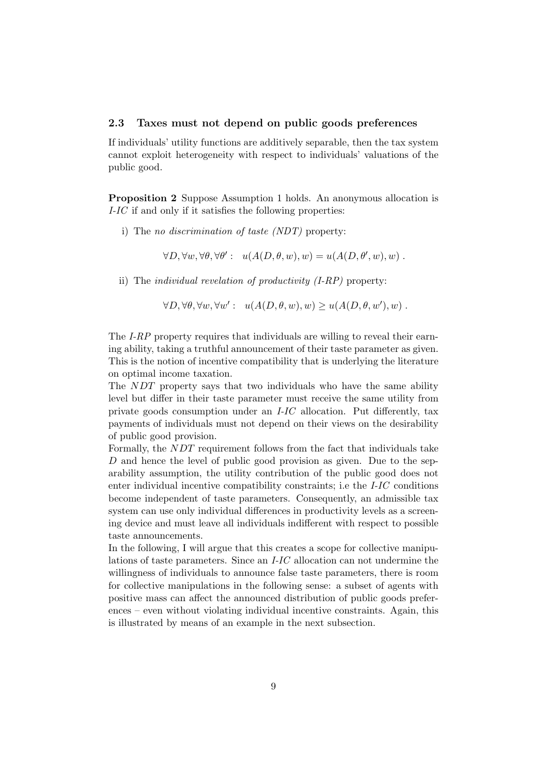#### 2.3 Taxes must not depend on public goods preferences

If individuals' utility functions are additively separable, then the tax system cannot exploit heterogeneity with respect to individuals' valuations of the public good.

Proposition 2 Suppose Assumption 1 holds. An anonymous allocation is I-IC if and only if it satisfies the following properties:

i) The no discrimination of taste (NDT) property:

 $\forall D, \forall w, \forall \theta, \forall \theta': \quad u(A(D, \theta, w), w) = u(A(D, \theta', w), w)$ .

ii) The individual revelation of productivity (I-RP) property:

$$
\forall D, \forall \theta, \forall w, \forall w': \quad u(A(D, \theta, w), w) \geq u(A(D, \theta, w'), w) .
$$

The I-RP property requires that individuals are willing to reveal their earning ability, taking a truthful announcement of their taste parameter as given. This is the notion of incentive compatibility that is underlying the literature on optimal income taxation.

The NDT property says that two individuals who have the same ability level but differ in their taste parameter must receive the same utility from private goods consumption under an I-IC allocation. Put differently, tax payments of individuals must not depend on their views on the desirability of public good provision.

Formally, the NDT requirement follows from the fact that individuals take D and hence the level of public good provision as given. Due to the separability assumption, the utility contribution of the public good does not enter individual incentive compatibility constraints; i.e the I-IC conditions become independent of taste parameters. Consequently, an admissible tax system can use only individual differences in productivity levels as a screening device and must leave all individuals indifferent with respect to possible taste announcements.

In the following, I will argue that this creates a scope for collective manipulations of taste parameters. Since an I-IC allocation can not undermine the willingness of individuals to announce false taste parameters, there is room for collective manipulations in the following sense: a subset of agents with positive mass can affect the announced distribution of public goods preferences – even without violating individual incentive constraints. Again, this is illustrated by means of an example in the next subsection.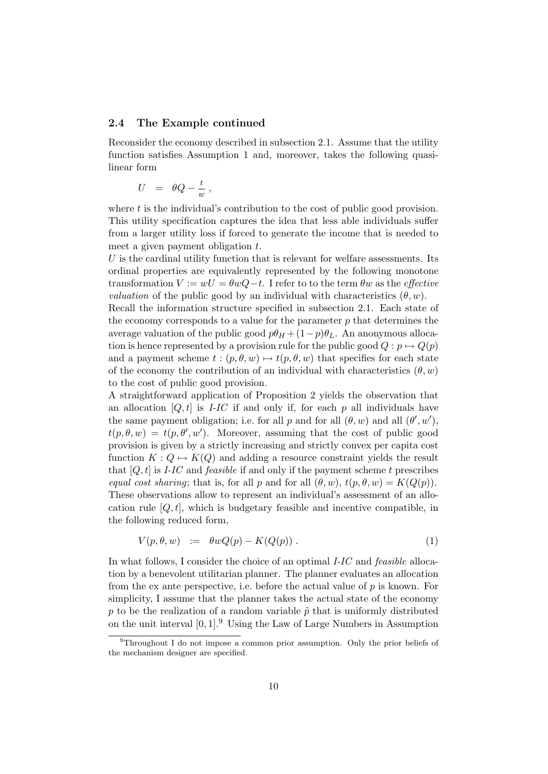#### 2.4 The Example continued

Reconsider the economy described in subsection 2.1. Assume that the utility function satisfies Assumption 1 and, moreover, takes the following quasilinear form

$$
U = \theta Q - \frac{t}{w} ,
$$

where  $t$  is the individual's contribution to the cost of public good provision. This utility specification captures the idea that less able individuals suffer from a larger utility loss if forced to generate the income that is needed to meet a given payment obligation t.

 $U$  is the cardinal utility function that is relevant for welfare assessments. Its ordinal properties are equivalently represented by the following monotone transformation  $V := wU = \theta wQ - t$ . I refer to to the term  $\theta w$  as the *effective valuation* of the public good by an individual with characteristics  $(\theta, w)$ .

Recall the information structure specified in subsection 2.1. Each state of the economy corresponds to a value for the parameter  $p$  that determines the average valuation of the public good  $p\theta_H + (1-p)\theta_L$ . An anonymous allocation is hence represented by a provision rule for the public good  $Q : p \mapsto Q(p)$ and a payment scheme  $t : (p, \theta, w) \mapsto t(p, \theta, w)$  that specifies for each state of the economy the contribution of an individual with characteristics  $(\theta, w)$ to the cost of public good provision.

A straightforward application of Proposition 2 yields the observation that an allocation  $[Q, t]$  is *I-IC* if and only if, for each p all individuals have the same payment obligation; i.e. for all p and for all  $(\theta, w)$  and all  $(\theta', w')$ ,  $t(p, \theta, w) = t(p, \theta', w')$ . Moreover, assuming that the cost of public good provision is given by a strictly increasing and strictly convex per capita cost function  $K: Q \mapsto K(Q)$  and adding a resource constraint yields the result that  $[Q, t]$  is I-IC and *feasible* if and only if the payment scheme t prescribes equal cost sharing; that is, for all p and for all  $(\theta, w)$ ,  $t(p, \theta, w) = K(Q(p))$ . These observations allow to represent an individual's assessment of an allocation rule  $[Q, t]$ , which is budgetary feasible and incentive compatible, in the following reduced form,

$$
V(p, \theta, w) := \theta w Q(p) - K(Q(p)). \qquad (1)
$$

In what follows, I consider the choice of an optimal I-IC and feasible allocation by a benevolent utilitarian planner. The planner evaluates an allocation from the ex ante perspective, i.e. before the actual value of  $p$  is known. For simplicity, I assume that the planner takes the actual state of the economy p to be the realization of a random variable  $\tilde{p}$  that is uniformly distributed on the unit interval  $[0, 1]$ .<sup>9</sup> Using the Law of Large Numbers in Assumption

<sup>9</sup>Throughout I do not impose a common prior assumption. Only the prior beliefs of the mechanism designer are specified.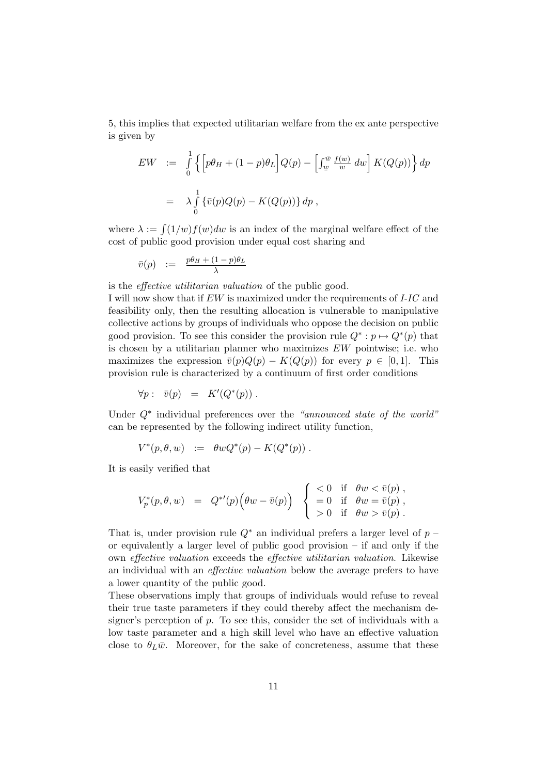5, this implies that expected utilitarian welfare from the ex ante perspective is given by

$$
EW := \int_0^1 \left\{ \left[ p\theta_H + (1-p)\theta_L \right] Q(p) - \left[ \int_w^{\bar{w}} \frac{f(w)}{w} dw \right] K(Q(p)) \right\} dp
$$
  
=  $\lambda \int_0^1 \left\{ \bar{v}(p)Q(p) - K(Q(p)) \right\} dp$ ,

where  $\lambda := \int (1/w) f(w) dw$  is an index of the marginal welfare effect of the cost of public good provision under equal cost sharing and

$$
\bar{v}(p) \quad := \quad \frac{p\theta_H + (1-p)\theta_L}{\lambda}
$$

is the effective utilitarian valuation of the public good.

I will now show that if EW is maximized under the requirements of I-IC and feasibility only, then the resulting allocation is vulnerable to manipulative collective actions by groups of individuals who oppose the decision on public good provision. To see this consider the provision rule  $Q^* : p \mapsto Q^*(p)$  that is chosen by a utilitarian planner who maximizes EW pointwise; i.e. who maximizes the expression  $\bar{v}(p)Q(p) - K(Q(p))$  for every  $p \in [0,1]$ . This provision rule is characterized by a continuum of first order conditions

$$
\forall p: \ \bar{v}(p) = K'(Q^*(p)).
$$

Under Q<sup>\*</sup> individual preferences over the "announced state of the world" can be represented by the following indirect utility function,

$$
V^*(p, \theta, w) \quad := \quad \theta w Q^*(p) - K(Q^*(p)) \; .
$$

It is easily verified that

$$
V_p^*(p, \theta, w) = Q^{*'}(p) \Big( \theta w - \bar{v}(p) \Big) \begin{cases} < 0 & \text{if } \theta w < \bar{v}(p) ,\\ = 0 & \text{if } \theta w = \bar{v}(p) ,\\ > 0 & \text{if } \theta w > \bar{v}(p) . \end{cases}
$$

That is, under provision rule  $Q^*$  an individual prefers a larger level of  $p$ or equivalently a larger level of public good provision – if and only if the own effective valuation exceeds the effective utilitarian valuation. Likewise an individual with an effective valuation below the average prefers to have a lower quantity of the public good.

These observations imply that groups of individuals would refuse to reveal their true taste parameters if they could thereby affect the mechanism designer's perception of p. To see this, consider the set of individuals with a low taste parameter and a high skill level who have an effective valuation close to  $\theta_L\bar{w}$ . Moreover, for the sake of concreteness, assume that these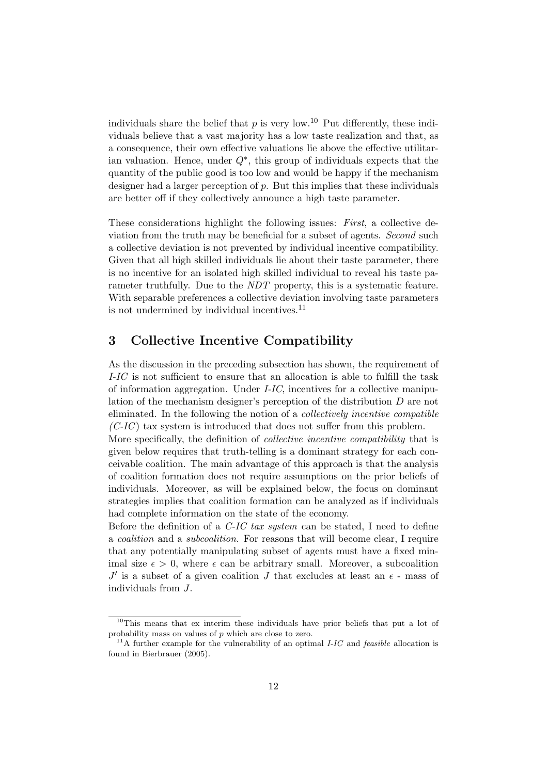individuals share the belief that p is very low.<sup>10</sup> Put differently, these individuals believe that a vast majority has a low taste realization and that, as a consequence, their own effective valuations lie above the effective utilitarian valuation. Hence, under  $Q^*$ , this group of individuals expects that the quantity of the public good is too low and would be happy if the mechanism designer had a larger perception of p. But this implies that these individuals are better off if they collectively announce a high taste parameter.

These considerations highlight the following issues: First, a collective deviation from the truth may be beneficial for a subset of agents. Second such a collective deviation is not prevented by individual incentive compatibility. Given that all high skilled individuals lie about their taste parameter, there is no incentive for an isolated high skilled individual to reveal his taste parameter truthfully. Due to the *NDT* property, this is a systematic feature. With separable preferences a collective deviation involving taste parameters is not undermined by individual incentives. $^{11}$ 

### 3 Collective Incentive Compatibility

As the discussion in the preceding subsection has shown, the requirement of I-IC is not sufficient to ensure that an allocation is able to fulfill the task of information aggregation. Under  $I$ -*IC*, incentives for a collective manipulation of the mechanism designer's perception of the distribution D are not eliminated. In the following the notion of a collectively incentive compatible  $(C$ - $IC)$  tax system is introduced that does not suffer from this problem.

More specifically, the definition of collective incentive compatibility that is given below requires that truth-telling is a dominant strategy for each conceivable coalition. The main advantage of this approach is that the analysis of coalition formation does not require assumptions on the prior beliefs of individuals. Moreover, as will be explained below, the focus on dominant strategies implies that coalition formation can be analyzed as if individuals had complete information on the state of the economy.

Before the definition of a  $C$ -IC tax system can be stated, I need to define a coalition and a subcoalition. For reasons that will become clear, I require that any potentially manipulating subset of agents must have a fixed minimal size  $\epsilon > 0$ , where  $\epsilon$  can be arbitrary small. Moreover, a subcoalition  $J'$  is a subset of a given coalition  $J$  that excludes at least an  $\epsilon$  - mass of individuals from J.

<sup>10</sup>This means that ex interim these individuals have prior beliefs that put a lot of probability mass on values of p which are close to zero.

<sup>&</sup>lt;sup>11</sup>A further example for the vulnerability of an optimal  $I$ -IC and feasible allocation is found in Bierbrauer (2005).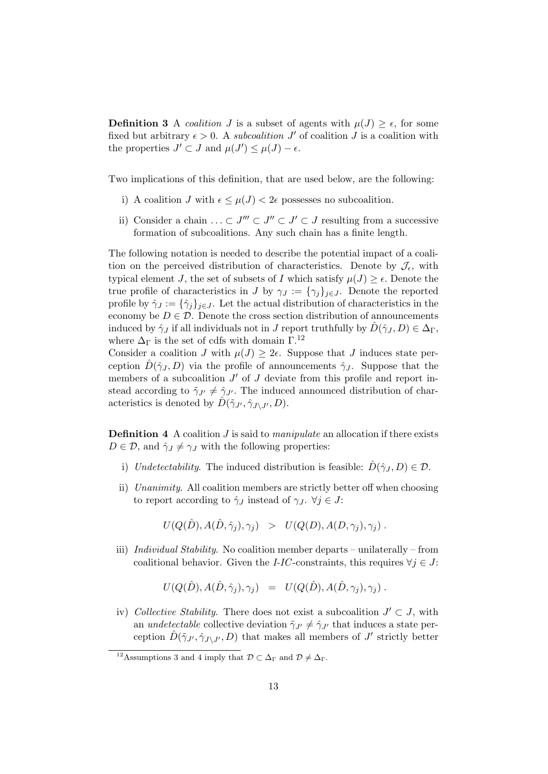**Definition 3** A *coalition* J is a subset of agents with  $\mu(J) \geq \epsilon$ , for some fixed but arbitrary  $\epsilon > 0$ . A subcoalition  $J'$  of coalition  $J$  is a coalition with the properties  $J' \subset J$  and  $\mu(J') \leq \mu(J) - \epsilon$ .

Two implications of this definition, that are used below, are the following:

- i) A coalition J with  $\epsilon \leq \mu(J) < 2\epsilon$  possesses no subcoalition.
- ii) Consider a chain  $\ldots \subset J''' \subset J'' \subset J' \subset J$  resulting from a successive formation of subcoalitions. Any such chain has a finite length.

The following notation is needed to describe the potential impact of a coalition on the perceived distribution of characteristics. Denote by  $\mathcal{J}_{\epsilon}$ , with typical element J, the set of subsets of I which satisfy  $\mu(J) \geq \epsilon$ . Denote the true profile of characteristics in J by  $\gamma_J := {\gamma_j}_{j \in J}$ . Denote the reported profile by  $\hat{\gamma}_J := {\hat{\gamma}_j}_{j \in J}$ . Let the actual distribution of characteristics in the economy be  $D \in \mathcal{D}$ . Denote the cross section distribution of announcements induced by  $\hat{\gamma}_J$  if all individuals not in J report truthfully by  $\hat{D}(\hat{\gamma}_J, D) \in \Delta_{\Gamma}$ , where  $\Delta_{\Gamma}$  is the set of cdfs with domain  $\Gamma^{12}$ 

Consider a coalition J with  $\mu(J) \geq 2\epsilon$ . Suppose that J induces state perception  $D(\hat{\gamma}_J, D)$  via the profile of announcements  $\hat{\gamma}_J$ . Suppose that the members of a subcoalition  $J'$  of  $J$  deviate from this profile and report instead according to  $\tilde{\gamma}_{J'} \neq \hat{\gamma}_{J'}$ . The induced announced distribution of characteristics is denoted by  $D(\tilde{\gamma}_{J'}, \hat{\gamma}_{J\setminus J'}, D)$ .

**Definition 4** A coalition  $J$  is said to *manipulate* an allocation if there exists  $D \in \mathcal{D}$ , and  $\hat{\gamma}_J \neq \gamma_J$  with the following properties:

- i) Undetectability. The induced distribution is feasible:  $\hat{D}(\hat{\gamma}_J, D) \in \mathcal{D}$ .
- ii) Unanimity. All coalition members are strictly better off when choosing to report according to  $\hat{\gamma}_J$  instead of  $\gamma_J$ .  $\forall j \in J$ :

$$
U(Q(\hat{D}), A(\hat{D}, \hat{\gamma}_j), \gamma_j) > U(Q(D), A(D, \gamma_j), \gamma_j) .
$$

iii) Individual Stability. No coalition member departs – unilaterally – from coalitional behavior. Given the I-IC-constraints, this requires  $\forall j \in J$ :

$$
U(Q(\hat{D}), A(\hat{D}, \hat{\gamma}_j), \gamma_j) = U(Q(\hat{D}), A(\hat{D}, \gamma_j), \gamma_j) .
$$

iv) Collective Stability. There does not exist a subcoalition  $J' \subset J$ , with an *undetectable* collective deviation  $\tilde{\gamma}_{J'} \neq \hat{\gamma}_{J'}$  that induces a state perception  $\hat{D}(\tilde{\gamma}_{J'}, \hat{\gamma}_{J \setminus J'}, D)$  that makes all members of  $J'$  strictly better

<sup>&</sup>lt;sup>12</sup>Assumptions 3 and 4 imply that  $\mathcal{D} \subset \Delta_{\Gamma}$  and  $\mathcal{D} \neq \Delta_{\Gamma}$ .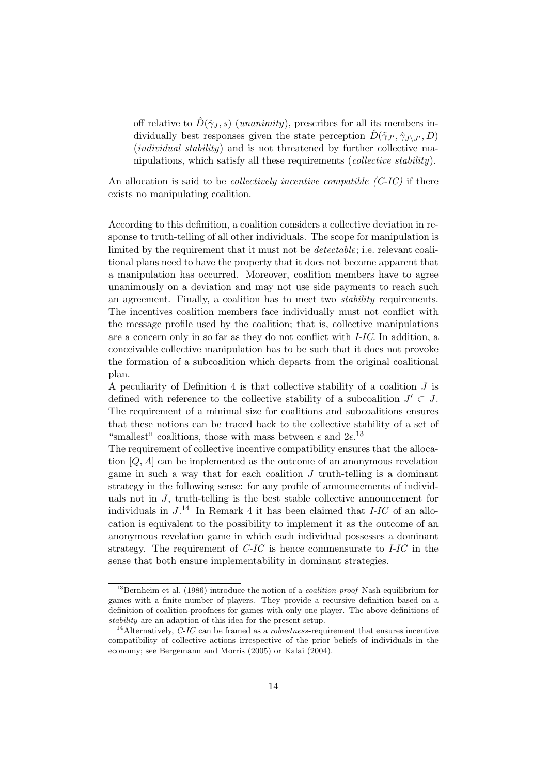off relative to  $\hat{D}(\hat{\gamma}_J, s)$  (unanimity), prescribes for all its members individually best responses given the state perception  $\hat{D}(\tilde{\gamma}_{J}, \hat{\gamma}_{J}, \gamma_{J}, D)$ (*individual stability*) and is not threatened by further collective manipulations, which satisfy all these requirements (collective stability).

An allocation is said to be *collectively incentive compatible*  $(C$ *-IC*) if there exists no manipulating coalition.

According to this definition, a coalition considers a collective deviation in response to truth-telling of all other individuals. The scope for manipulation is limited by the requirement that it must not be detectable; i.e. relevant coalitional plans need to have the property that it does not become apparent that a manipulation has occurred. Moreover, coalition members have to agree unanimously on a deviation and may not use side payments to reach such an agreement. Finally, a coalition has to meet two stability requirements. The incentives coalition members face individually must not conflict with the message profile used by the coalition; that is, collective manipulations are a concern only in so far as they do not conflict with I-IC. In addition, a conceivable collective manipulation has to be such that it does not provoke the formation of a subcoalition which departs from the original coalitional plan.

A peculiarity of Definition 4 is that collective stability of a coalition  $J$  is defined with reference to the collective stability of a subcoalition  $J' \subset J$ . The requirement of a minimal size for coalitions and subcoalitions ensures that these notions can be traced back to the collective stability of a set of "smallest" coalitions, those with mass between  $\epsilon$  and  $2\epsilon$ <sup>13</sup>

The requirement of collective incentive compatibility ensures that the allocation  $[Q, A]$  can be implemented as the outcome of an anonymous revelation game in such a way that for each coalition  $J$  truth-telling is a dominant strategy in the following sense: for any profile of announcements of individuals not in  $J$ , truth-telling is the best stable collective announcement for individuals in  $J^{14}$  In Remark 4 it has been claimed that  $I$ -IC of an allocation is equivalent to the possibility to implement it as the outcome of an anonymous revelation game in which each individual possesses a dominant strategy. The requirement of  $C$ -IC is hence commensurate to I-IC in the sense that both ensure implementability in dominant strategies.

 $13$ Bernheim et al. (1986) introduce the notion of a *coalition-proof* Nash-equilibrium for games with a finite number of players. They provide a recursive definition based on a definition of coalition-proofness for games with only one player. The above definitions of stability are an adaption of this idea for the present setup.

<sup>&</sup>lt;sup>14</sup>Alternatively, C-IC can be framed as a *robustness*-requirement that ensures incentive compatibility of collective actions irrespective of the prior beliefs of individuals in the economy; see Bergemann and Morris (2005) or Kalai (2004).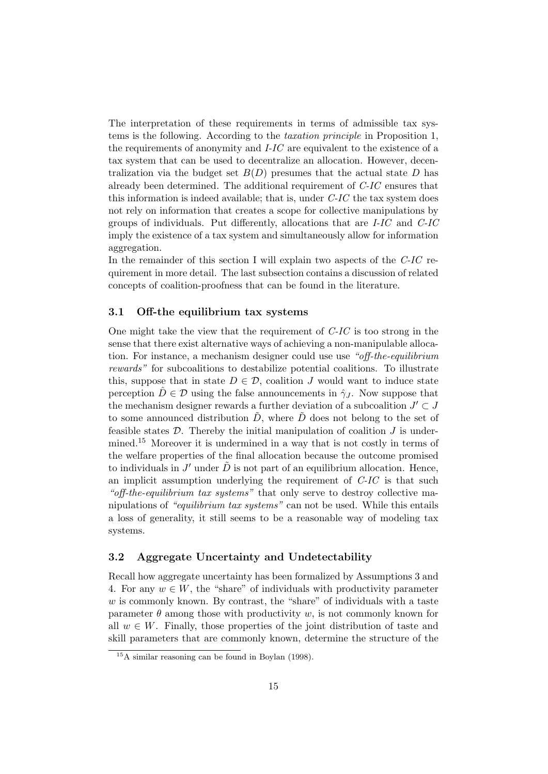The interpretation of these requirements in terms of admissible tax systems is the following. According to the taxation principle in Proposition 1, the requirements of anonymity and I-IC are equivalent to the existence of a tax system that can be used to decentralize an allocation. However, decentralization via the budget set  $B(D)$  presumes that the actual state D has already been determined. The additional requirement of C-IC ensures that this information is indeed available; that is, under  $C$ - $IC$  the tax system does not rely on information that creates a scope for collective manipulations by groups of individuals. Put differently, allocations that are I-IC and C-IC imply the existence of a tax system and simultaneously allow for information aggregation.

In the remainder of this section I will explain two aspects of the C-IC requirement in more detail. The last subsection contains a discussion of related concepts of coalition-proofness that can be found in the literature.

#### 3.1 Off-the equilibrium tax systems

One might take the view that the requirement of C-IC is too strong in the sense that there exist alternative ways of achieving a non-manipulable allocation. For instance, a mechanism designer could use use "off-the-equilibrium rewards" for subcoalitions to destabilize potential coalitions. To illustrate this, suppose that in state  $D \in \mathcal{D}$ , coalition J would want to induce state perception  $\hat{D} \in \mathcal{D}$  using the false announcements in  $\hat{\gamma}_J$ . Now suppose that the mechanism designer rewards a further deviation of a subcoalition  $J' \subset J$ to some announced distribution  $\ddot{D}$ , where  $\ddot{D}$  does not belong to the set of feasible states  $\mathcal{D}$ . Thereby the initial manipulation of coalition  $J$  is undermined.<sup>15</sup> Moreover it is undermined in a way that is not costly in terms of the welfare properties of the final allocation because the outcome promised to individuals in  $J'$  under  $\tilde{D}$  is not part of an equilibrium allocation. Hence, an implicit assumption underlying the requirement of  $C$ - $IC$  is that such "off-the-equilibrium tax systems" that only serve to destroy collective manipulations of "equilibrium tax systems" can not be used. While this entails a loss of generality, it still seems to be a reasonable way of modeling tax systems.

#### 3.2 Aggregate Uncertainty and Undetectability

Recall how aggregate uncertainty has been formalized by Assumptions 3 and 4. For any  $w \in W$ , the "share" of individuals with productivity parameter  $w$  is commonly known. By contrast, the "share" of individuals with a taste parameter  $\theta$  among those with productivity w, is not commonly known for all  $w \in W$ . Finally, those properties of the joint distribution of taste and skill parameters that are commonly known, determine the structure of the

<sup>15</sup>A similar reasoning can be found in Boylan (1998).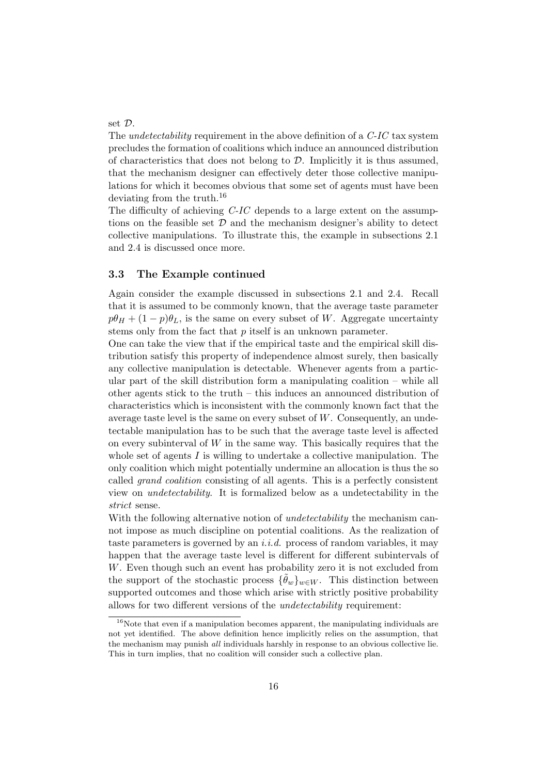set D.

The *undetectability* requirement in the above definition of a C-IC tax system precludes the formation of coalitions which induce an announced distribution of characteristics that does not belong to  $D$ . Implicitly it is thus assumed, that the mechanism designer can effectively deter those collective manipulations for which it becomes obvious that some set of agents must have been deviating from the truth.<sup>16</sup>

The difficulty of achieving C-IC depends to a large extent on the assumptions on the feasible set  $\mathcal D$  and the mechanism designer's ability to detect collective manipulations. To illustrate this, the example in subsections 2.1 and 2.4 is discussed once more.

#### 3.3 The Example continued

Again consider the example discussed in subsections 2.1 and 2.4. Recall that it is assumed to be commonly known, that the average taste parameter  $p\theta_H + (1-p)\theta_L$ , is the same on every subset of W. Aggregate uncertainty stems only from the fact that p itself is an unknown parameter.

One can take the view that if the empirical taste and the empirical skill distribution satisfy this property of independence almost surely, then basically any collective manipulation is detectable. Whenever agents from a particular part of the skill distribution form a manipulating coalition – while all other agents stick to the truth – this induces an announced distribution of characteristics which is inconsistent with the commonly known fact that the average taste level is the same on every subset of  $W$ . Consequently, an undetectable manipulation has to be such that the average taste level is affected on every subinterval of  $W$  in the same way. This basically requires that the whole set of agents  $I$  is willing to undertake a collective manipulation. The only coalition which might potentially undermine an allocation is thus the so called grand coalition consisting of all agents. This is a perfectly consistent view on undetectability. It is formalized below as a undetectability in the strict sense.

With the following alternative notion of *undetectability* the mechanism cannot impose as much discipline on potential coalitions. As the realization of taste parameters is governed by an  $i.i.d.$  process of random variables, it may happen that the average taste level is different for different subintervals of W. Even though such an event has probability zero it is not excluded from the support of the stochastic process  $\{\tilde{\theta}_w\}_{w\in W}$ . This distinction between supported outcomes and those which arise with strictly positive probability allows for two different versions of the undetectability requirement:

 $16$ Note that even if a manipulation becomes apparent, the manipulating individuals are not yet identified. The above definition hence implicitly relies on the assumption, that the mechanism may punish all individuals harshly in response to an obvious collective lie. This in turn implies, that no coalition will consider such a collective plan.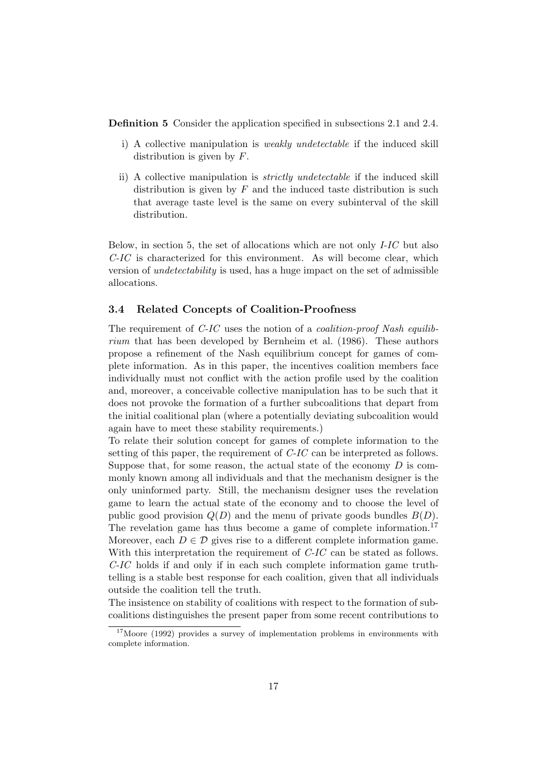Definition 5 Consider the application specified in subsections 2.1 and 2.4.

- i) A collective manipulation is weakly undetectable if the induced skill distribution is given by F.
- ii) A collective manipulation is strictly undetectable if the induced skill distribution is given by  $F$  and the induced taste distribution is such that average taste level is the same on every subinterval of the skill distribution.

Below, in section 5, the set of allocations which are not only I-IC but also  $C$ - $IC$  is characterized for this environment. As will become clear, which version of undetectability is used, has a huge impact on the set of admissible allocations.

#### 3.4 Related Concepts of Coalition-Proofness

The requirement of C-IC uses the notion of a *coalition-proof Nash equilib*rium that has been developed by Bernheim et al. (1986). These authors propose a refinement of the Nash equilibrium concept for games of complete information. As in this paper, the incentives coalition members face individually must not conflict with the action profile used by the coalition and, moreover, a conceivable collective manipulation has to be such that it does not provoke the formation of a further subcoalitions that depart from the initial coalitional plan (where a potentially deviating subcoalition would again have to meet these stability requirements.)

To relate their solution concept for games of complete information to the setting of this paper, the requirement of C-IC can be interpreted as follows. Suppose that, for some reason, the actual state of the economy  $D$  is commonly known among all individuals and that the mechanism designer is the only uninformed party. Still, the mechanism designer uses the revelation game to learn the actual state of the economy and to choose the level of public good provision  $Q(D)$  and the menu of private goods bundles  $B(D)$ . The revelation game has thus become a game of complete information.<sup>17</sup> Moreover, each  $D \in \mathcal{D}$  gives rise to a different complete information game. With this interpretation the requirement of C-IC can be stated as follows. C-IC holds if and only if in each such complete information game truthtelling is a stable best response for each coalition, given that all individuals outside the coalition tell the truth.

The insistence on stability of coalitions with respect to the formation of subcoalitions distinguishes the present paper from some recent contributions to

 $17$ Moore (1992) provides a survey of implementation problems in environments with complete information.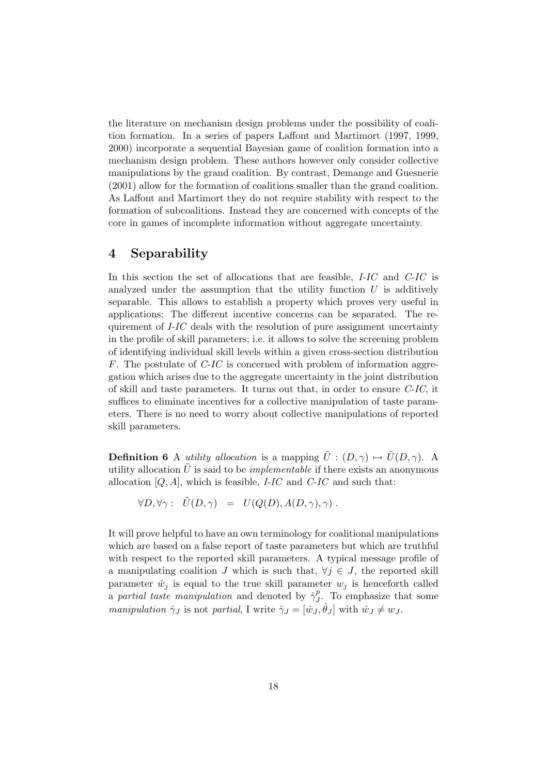the literature on mechanism design problems under the possibility of coalition formation. In a series of papers Laffont and Martimort (1997, 1999, 2000) incorporate a sequential Bayesian game of coalition formation into a mechanism design problem. These authors however only consider collective manipulations by the grand coalition. By contrast, Demange and Guesnerie (2001) allow for the formation of coalitions smaller than the grand coalition. As Laffont and Martimort they do not require stability with respect to the formation of subcoalitions. Instead they are concerned with concepts of the core in games of incomplete information without aggregate uncertainty.

#### 4 Separability

In this section the set of allocations that are feasible, I-IC and C-IC is analyzed under the assumption that the utility function  $U$  is additively separable. This allows to establish a property which proves very useful in applications: The different incentive concerns can be separated. The requirement of  $I$ -IC deals with the resolution of pure assignment uncertainty in the profile of skill parameters; i.e. it allows to solve the screening problem of identifying individual skill levels within a given cross-section distribution F. The postulate of C-IC is concerned with problem of information aggregation which arises due to the aggregate uncertainty in the joint distribution of skill and taste parameters. It turns out that, in order to ensure C-IC, it suffices to eliminate incentives for a collective manipulation of taste parameters. There is no need to worry about collective manipulations of reported skill parameters.

**Definition 6** A *utility allocation* is a mapping  $\tilde{U} : (D, \gamma) \mapsto \tilde{U}(D, \gamma)$ . A utility allocation  $\tilde{U}$  is said to be *implementable* if there exists an anonymous allocation  $[Q, A]$ , which is feasible, *I-IC* and *C-IC* and such that:

 $\forall D, \forall \gamma : \tilde{U}(D, \gamma) = U(Q(D), A(D, \gamma), \gamma)$ .

It will prove helpful to have an own terminology for coalitional manipulations which are based on a false report of taste parameters but which are truthful with respect to the reported skill parameters. A typical message profile of a manipulating coalition J which is such that,  $\forall j \in J$ , the reported skill parameter  $\hat{w}_j$  is equal to the true skill parameter  $w_j$  is henceforth called a partial taste manipulation and denoted by  $\hat{\gamma}_l^p$  $J<sup>p</sup>$ . To emphasize that some manipulation  $\hat{\gamma}_J$  is not partial, I write  $\hat{\gamma}_J = [\hat{w}_J, \hat{\theta}_J]$  with  $\hat{w}_J \neq w_J$ .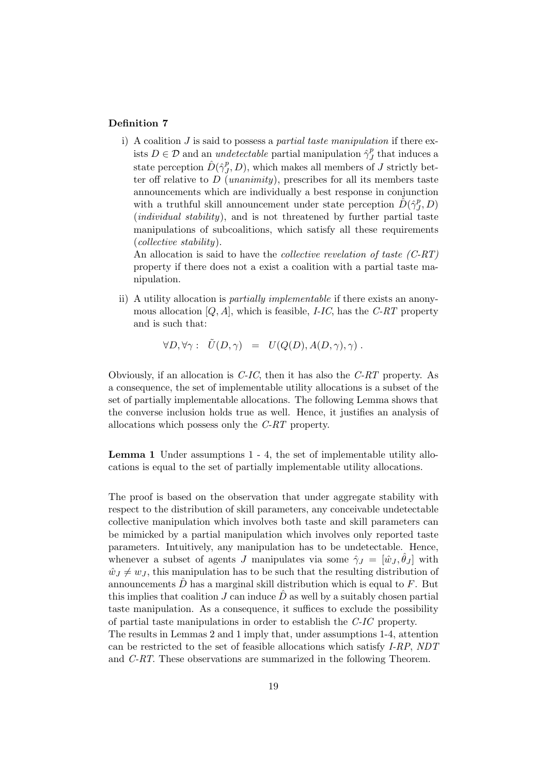#### Definition 7

i) A coalition  $J$  is said to possess a *partial taste manipulation* if there exists  $D \in \mathcal{D}$  and an *undetectable* partial manipulation  $\hat{\gamma}_j^p$  $J<sup>p</sup>$  that induces a state perception  $\hat{D}(\hat{\gamma}_{I}^{p})$  $J<sup>p</sup>(J, D)$ , which makes all members of J strictly better off relative to  $D$  (*unanimity*), prescribes for all its members taste announcements which are individually a best response in conjunction with a truthful skill announcement under state perception  $\hat{D}(\hat{\gamma}_j^p)$  $J^p, D)$ (individual stability), and is not threatened by further partial taste manipulations of subcoalitions, which satisfy all these requirements (collective stability).

An allocation is said to have the collective revelation of taste (C-RT) property if there does not a exist a coalition with a partial taste manipulation.

ii) A utility allocation is partially implementable if there exists an anonymous allocation  $[Q, A]$ , which is feasible, *I-IC*, has the *C-RT* property and is such that:

$$
\forall D, \forall \gamma: \quad \tilde{U}(D,\gamma) = U(Q(D), A(D,\gamma), \gamma) .
$$

Obviously, if an allocation is C-IC, then it has also the C-RT property. As a consequence, the set of implementable utility allocations is a subset of the set of partially implementable allocations. The following Lemma shows that the converse inclusion holds true as well. Hence, it justifies an analysis of allocations which possess only the C-RT property.

Lemma 1 Under assumptions 1 - 4, the set of implementable utility allocations is equal to the set of partially implementable utility allocations.

The proof is based on the observation that under aggregate stability with respect to the distribution of skill parameters, any conceivable undetectable collective manipulation which involves both taste and skill parameters can be mimicked by a partial manipulation which involves only reported taste parameters. Intuitively, any manipulation has to be undetectable. Hence, whenever a subset of agents J manipulates via some  $\hat{\gamma}_J = [\hat{w}_J, \hat{\theta}_J]$  with  $\hat{w}_J \neq w_J$ , this manipulation has to be such that the resulting distribution of announcements  $\hat{D}$  has a marginal skill distribution which is equal to F. But this implies that coalition  $J$  can induce  $D$  as well by a suitably chosen partial taste manipulation. As a consequence, it suffices to exclude the possibility of partial taste manipulations in order to establish the C-IC property.

The results in Lemmas 2 and 1 imply that, under assumptions 1-4, attention can be restricted to the set of feasible allocations which satisfy I-RP, NDT and C-RT. These observations are summarized in the following Theorem.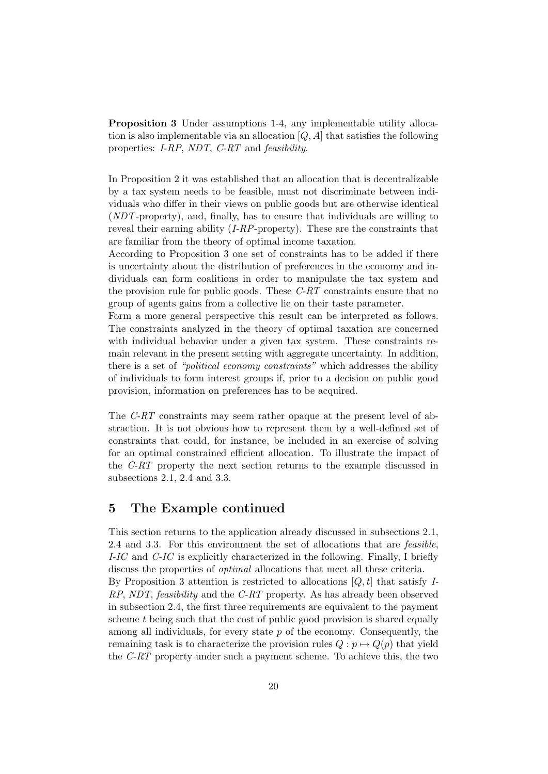Proposition 3 Under assumptions 1-4, any implementable utility allocation is also implementable via an allocation  $[Q, A]$  that satisfies the following properties: I-RP, NDT, C-RT and feasibility.

In Proposition 2 it was established that an allocation that is decentralizable by a tax system needs to be feasible, must not discriminate between individuals who differ in their views on public goods but are otherwise identical (NDT-property), and, finally, has to ensure that individuals are willing to reveal their earning ability  $(I-RP$ -property). These are the constraints that are familiar from the theory of optimal income taxation.

According to Proposition 3 one set of constraints has to be added if there is uncertainty about the distribution of preferences in the economy and individuals can form coalitions in order to manipulate the tax system and the provision rule for public goods. These  $C-RT$  constraints ensure that no group of agents gains from a collective lie on their taste parameter.

Form a more general perspective this result can be interpreted as follows. The constraints analyzed in the theory of optimal taxation are concerned with individual behavior under a given tax system. These constraints remain relevant in the present setting with aggregate uncertainty. In addition, there is a set of "*political economy constraints*" which addresses the ability of individuals to form interest groups if, prior to a decision on public good provision, information on preferences has to be acquired.

The C-RT constraints may seem rather opaque at the present level of abstraction. It is not obvious how to represent them by a well-defined set of constraints that could, for instance, be included in an exercise of solving for an optimal constrained efficient allocation. To illustrate the impact of the C-RT property the next section returns to the example discussed in subsections 2.1, 2.4 and 3.3.

#### 5 The Example continued

This section returns to the application already discussed in subsections 2.1, 2.4 and 3.3. For this environment the set of allocations that are feasible, I-IC and C-IC is explicitly characterized in the following. Finally, I briefly discuss the properties of optimal allocations that meet all these criteria. By Proposition 3 attention is restricted to allocations  $[Q, t]$  that satisfy I-RP, NDT, feasibility and the C-RT property. As has already been observed in subsection 2.4, the first three requirements are equivalent to the payment scheme t being such that the cost of public good provision is shared equally among all individuals, for every state  $p$  of the economy. Consequently, the remaining task is to characterize the provision rules  $Q : p \mapsto Q(p)$  that yield the C-RT property under such a payment scheme. To achieve this, the two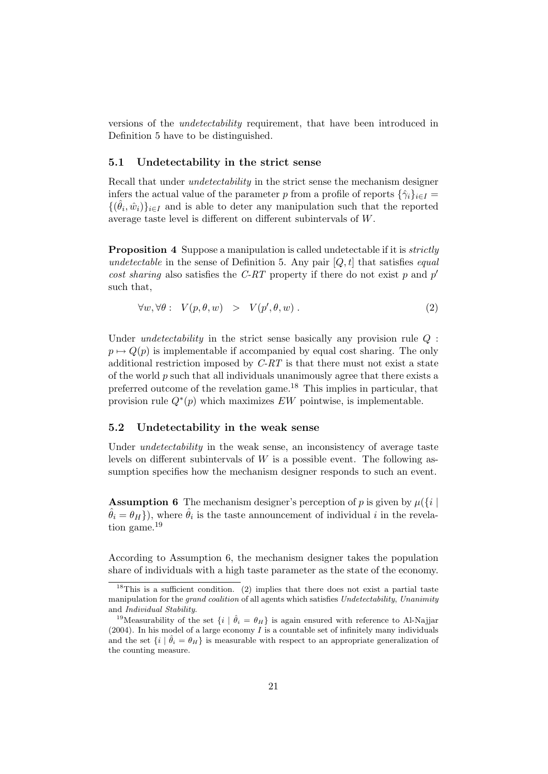versions of the undetectability requirement, that have been introduced in Definition 5 have to be distinguished.

#### 5.1 Undetectability in the strict sense

Recall that under *undetectability* in the strict sense the mechanism designer infers the actual value of the parameter p from a profile of reports  $\{\hat{\gamma}_i\}_{i\in I}$  $\{(\hat{\theta}_i, \hat{w}_i)\}_{i\in I}$  and is able to deter any manipulation such that the reported average taste level is different on different subintervals of W.

**Proposition 4** Suppose a manipulation is called undetectable if it is *strictly* undetectable in the sense of Definition 5. Any pair  $[Q, t]$  that satisfies *equal* cost sharing also satisfies the C-RT property if there do not exist  $p$  and  $p'$ such that,

$$
\forall w, \forall \theta: V(p, \theta, w) > V(p', \theta, w).
$$
\n
$$
(2)
$$

Under *undetectability* in the strict sense basically any provision rule  $Q$ :  $p \mapsto Q(p)$  is implementable if accompanied by equal cost sharing. The only additional restriction imposed by  $C-RT$  is that there must not exist a state of the world  $p$  such that all individuals unanimously agree that there exists a preferred outcome of the revelation game.<sup>18</sup> This implies in particular, that provision rule  $Q^*(p)$  which maximizes EW pointwise, is implementable.

#### 5.2 Undetectability in the weak sense

Under undetectability in the weak sense, an inconsistency of average taste levels on different subintervals of  $W$  is a possible event. The following assumption specifies how the mechanism designer responds to such an event.

**Assumption 6** The mechanism designer's perception of p is given by  $\mu({i |$  $\hat{\theta}_i = \theta_H$ , where  $\hat{\theta}_i$  is the taste announcement of individual i in the revelation game.<sup>19</sup>

According to Assumption 6, the mechanism designer takes the population share of individuals with a high taste parameter as the state of the economy.

<sup>&</sup>lt;sup>18</sup>This is a sufficient condition. (2) implies that there does not exist a partial taste manipulation for the *grand coalition* of all agents which satisfies Undetectability, Unanimity and Individual Stability.

<sup>&</sup>lt;sup>19</sup>Measurability of the set  $\{i \mid \hat{\theta}_i = \theta_H\}$  is again ensured with reference to Al-Najjar (2004). In his model of a large economy  $I$  is a countable set of infinitely many individuals and the set  $\{i \mid \hat{\theta}_i = \theta_H\}$  is measurable with respect to an appropriate generalization of the counting measure.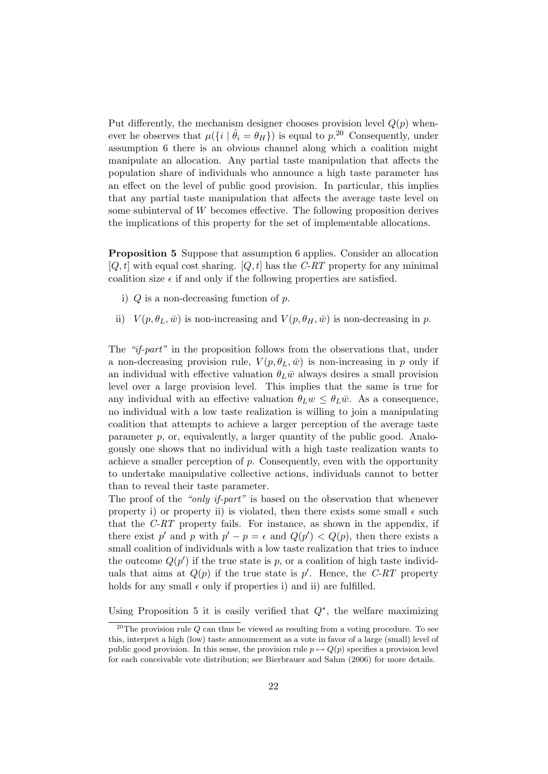Put differently, the mechanism designer chooses provision level  $Q(p)$  whenever he observes that  $\mu({i \mid \hat{\theta}_i = \theta_H})$  is equal to  $p^{20}$  Consequently, under assumption 6 there is an obvious channel along which a coalition might manipulate an allocation. Any partial taste manipulation that affects the population share of individuals who announce a high taste parameter has an effect on the level of public good provision. In particular, this implies that any partial taste manipulation that affects the average taste level on some subinterval of W becomes effective. The following proposition derives the implications of this property for the set of implementable allocations.

Proposition 5 Suppose that assumption 6 applies. Consider an allocation  $[Q, t]$  with equal cost sharing.  $[Q, t]$  has the C-RT property for any minimal coalition size  $\epsilon$  if and only if the following properties are satisfied.

- i)  $Q$  is a non-decreasing function of  $p$ .
- ii)  $V(p, \theta_L, \bar{w})$  is non-increasing and  $V(p, \theta_H, \bar{w})$  is non-decreasing in p.

The "if-part" in the proposition follows from the observations that, under a non-decreasing provision rule,  $V(p, \theta_L, \bar{w})$  is non-increasing in p only if an individual with effective valuation  $\theta_L\bar{w}$  always desires a small provision level over a large provision level. This implies that the same is true for any individual with an effective valuation  $\theta_L w \leq \theta_L \bar{w}$ . As a consequence, no individual with a low taste realization is willing to join a manipulating coalition that attempts to achieve a larger perception of the average taste parameter  $p$ , or, equivalently, a larger quantity of the public good. Analogously one shows that no individual with a high taste realization wants to achieve a smaller perception of p. Consequently, even with the opportunity to undertake manipulative collective actions, individuals cannot to better than to reveal their taste parameter.

The proof of the "only if-part" is based on the observation that whenever property i) or property ii) is violated, then there exists some small  $\epsilon$  such that the C-RT property fails. For instance, as shown in the appendix, if there exist p' and p with  $p' - p = \epsilon$  and  $Q(p') < Q(p)$ , then there exists a small coalition of individuals with a low taste realization that tries to induce the outcome  $Q(p')$  if the true state is p, or a coalition of high taste individuals that aims at  $Q(p)$  if the true state is p'. Hence, the C-RT property holds for any small  $\epsilon$  only if properties i) and ii) are fulfilled.

Using Proposition 5 it is easily verified that  $Q^*$ , the welfare maximizing

 $20$ The provision rule Q can thus be viewed as resulting from a voting procedure. To see this, interpret a high (low) taste announcement as a vote in favor of a large (small) level of public good provision. In this sense, the provision rule  $p \mapsto Q(p)$  specifies a provision level for each conceivable vote distribution; see Bierbrauer and Sahm (2006) for more details.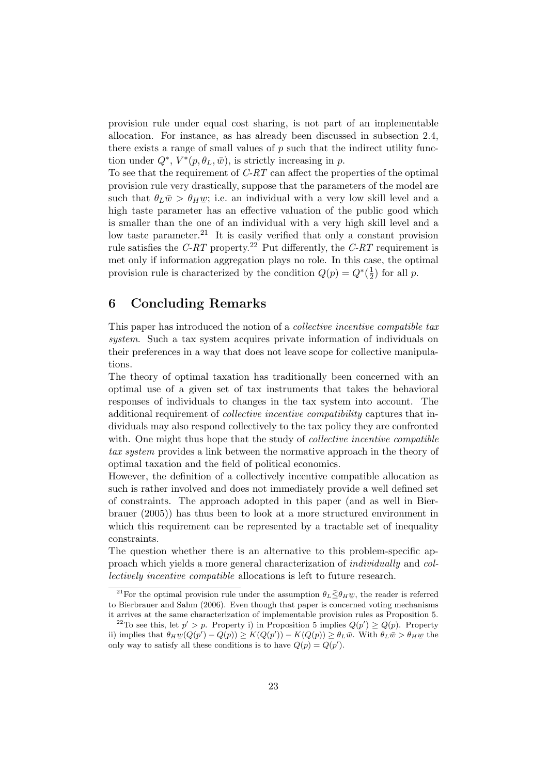provision rule under equal cost sharing, is not part of an implementable allocation. For instance, as has already been discussed in subsection 2.4, there exists a range of small values of  $p$  such that the indirect utility function under  $Q^*, V^*(p, \theta_L, \bar{w})$ , is strictly increasing in p.

To see that the requirement of  $C-RT$  can affect the properties of the optimal provision rule very drastically, suppose that the parameters of the model are such that  $\theta_L \bar{w} > \theta_H \psi$ ; i.e. an individual with a very low skill level and a high taste parameter has an effective valuation of the public good which high taste parameter has an effective valuation of the public good which is smaller than the one of an individual with a very high skill level and a low taste parameter. $^{21}$  It is easily verified that only a constant provision rule satisfies the  $C-RT$  property.<sup>22</sup> Put differently, the  $C-RT$  requirement is met only if information aggregation plays no role. In this case, the optimal provision rule is characterized by the condition  $Q(p) = Q^*(\frac{1}{2})$  $(\frac{1}{2})$  for all p.

### 6 Concluding Remarks

This paper has introduced the notion of a collective incentive compatible tax system. Such a tax system acquires private information of individuals on their preferences in a way that does not leave scope for collective manipulations.

The theory of optimal taxation has traditionally been concerned with an optimal use of a given set of tax instruments that takes the behavioral responses of individuals to changes in the tax system into account. The additional requirement of collective incentive compatibility captures that individuals may also respond collectively to the tax policy they are confronted with. One might thus hope that the study of *collective incentive compatible* tax system provides a link between the normative approach in the theory of optimal taxation and the field of political economics.

However, the definition of a collectively incentive compatible allocation as such is rather involved and does not immediately provide a well defined set of constraints. The approach adopted in this paper (and as well in Bierbrauer (2005)) has thus been to look at a more structured environment in which this requirement can be represented by a tractable set of inequality constraints.

The question whether there is an alternative to this problem-specific approach which yields a more general characterization of individually and collectively incentive compatible allocations is left to future research.

<sup>&</sup>lt;sup>21</sup>For the optimal provision rule under the assumption  $\theta_L \leq \theta_H \omega$ , the reader is referred to Bierbrauer and Sahm (2006). Even though that paper is concerned voting mechanisms it arrives at the same characterization of implementable provision rules as Proposition 5.

<sup>&</sup>lt;sup>22</sup>To see this, let  $p' > p$ . Property i) in Proposition 5 implies  $Q(p') \geq Q(p)$ . Property ii) implies that  $\theta_H \psi(Q(p') - Q(p)) \geq K(Q(p')) - K(Q(p)) \geq \theta_L \bar{w}$ . With  $\theta_L \bar{w} > \theta_H \psi$  the only way to satisfy all these conditions is to have  $Q(p) = Q(p')$ .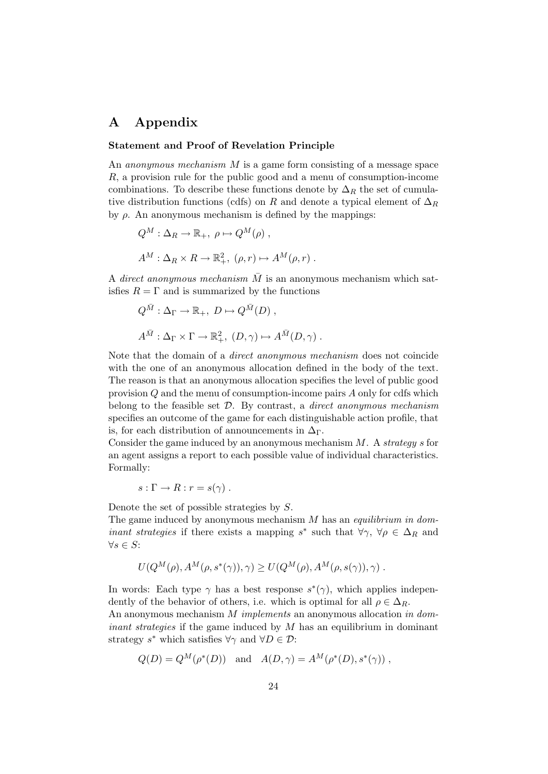### A Appendix

#### Statement and Proof of Revelation Principle

An *anonymous mechanism* M is a game form consisting of a message space R, a provision rule for the public good and a menu of consumption-income combinations. To describe these functions denote by  $\Delta_R$  the set of cumulative distribution functions (cdfs) on R and denote a typical element of  $\Delta_R$ by  $\rho$ . An anonymous mechanism is defined by the mappings:

$$
Q^M : \Delta_R \to \mathbb{R}_+, \ \rho \mapsto Q^M(\rho) ,
$$
  

$$
A^M : \Delta_R \times R \to \mathbb{R}_+^2, \ (\rho, r) \mapsto A^M(\rho, r) .
$$

A direct anonymous mechanism  $\overline{M}$  is an anonymous mechanism which satisfies  $R = \Gamma$  and is summarized by the functions

$$
Q^{\bar{M}}: \Delta_{\Gamma} \to \mathbb{R}_{+}, D \mapsto Q^{\bar{M}}(D),
$$
  

$$
A^{\bar{M}}: \Delta_{\Gamma} \times \Gamma \to \mathbb{R}^{2}_{+}, (D, \gamma) \mapsto A^{\bar{M}}(D, \gamma).
$$

Note that the domain of a direct anonymous mechanism does not coincide with the one of an anonymous allocation defined in the body of the text. The reason is that an anonymous allocation specifies the level of public good provision Q and the menu of consumption-income pairs A only for cdfs which belong to the feasible set  $D$ . By contrast, a *direct anonymous mechanism* specifies an outcome of the game for each distinguishable action profile, that is, for each distribution of announcements in  $\Delta_{\Gamma}$ .

Consider the game induced by an anonymous mechanism  $M$ . A strategy s for an agent assigns a report to each possible value of individual characteristics. Formally:

$$
s:\Gamma\to R:r=s(\gamma)\ .
$$

Denote the set of possible strategies by S.

The game induced by anonymous mechanism  $M$  has an *equilibrium in dominant strategies* if there exists a mapping  $s^*$  such that  $\forall \gamma, \forall \rho \in \Delta_R$  and  $\forall s \in S$ :

$$
U(Q^M(\rho), A^M(\rho, s^*(\gamma)), \gamma) \ge U(Q^M(\rho), A^M(\rho, s(\gamma)), \gamma) .
$$

In words: Each type  $\gamma$  has a best response  $s^*(\gamma)$ , which applies independently of the behavior of others, i.e. which is optimal for all  $\rho \in \Delta_R$ .

An anonymous mechanism M implements an anonymous allocation in dom*inant strategies* if the game induced by  $M$  has an equilibrium in dominant strategy  $s^*$  which satisfies  $\forall \gamma$  and  $\forall D \in \mathcal{D}$ :

$$
Q(D) = Q^M(\rho^*(D))
$$
 and  $A(D, \gamma) = A^M(\rho^*(D), s^*(\gamma))$ ,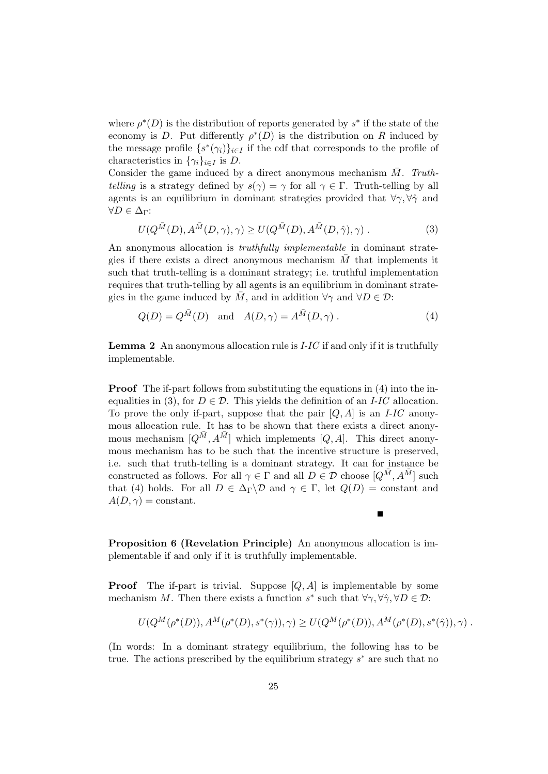where  $\rho^*(D)$  is the distribution of reports generated by  $s^*$  if the state of the economy is D. Put differently  $\rho^*(D)$  is the distribution on R induced by the message profile  $\{s^*(\gamma_i)\}_{i\in I}$  if the cdf that corresponds to the profile of characteristics in  $\{\gamma_i\}_{i\in I}$  is D.

Consider the game induced by a direct anonymous mechanism  $\overline{M}$ . Truthtelling is a strategy defined by  $s(\gamma) = \gamma$  for all  $\gamma \in \Gamma$ . Truth-telling by all agents is an equilibrium in dominant strategies provided that  $\forall \gamma, \forall \hat{\gamma}$  and  $\forall D \in \Delta_{\Gamma}$ :

$$
U(Q^{\bar{M}}(D), A^{\bar{M}}(D,\gamma), \gamma) \ge U(Q^{\bar{M}}(D), A^{\bar{M}}(D,\hat{\gamma}), \gamma).
$$
\n(3)

An anonymous allocation is truthfully implementable in dominant strategies if there exists a direct anonymous mechanism  $M$  that implements it such that truth-telling is a dominant strategy; i.e. truthful implementation requires that truth-telling by all agents is an equilibrium in dominant strategies in the game induced by  $\overline{M}$ , and in addition  $\forall \gamma$  and  $\forall D \in \mathcal{D}$ :

$$
Q(D) = Q^{\bar{M}}(D) \quad \text{and} \quad A(D, \gamma) = A^{\bar{M}}(D, \gamma) . \tag{4}
$$

Lemma 2 An anonymous allocation rule is *I-IC* if and only if it is truthfully implementable.

Proof The if-part follows from substituting the equations in (4) into the inequalities in (3), for  $D \in \mathcal{D}$ . This yields the definition of an *I-IC* allocation. To prove the only if-part, suppose that the pair  $[Q, A]$  is an I-IC anonymous allocation rule. It has to be shown that there exists a direct anonymous mechanism  $[Q^{\bar{M}}, A^{\bar{M}}]$  which implements  $[Q, A]$ . This direct anonymous mechanism has to be such that the incentive structure is preserved, i.e. such that truth-telling is a dominant strategy. It can for instance be constructed as follows. For all  $\gamma \in \Gamma$  and all  $D \in \mathcal{D}$  choose  $[Q^{\bar{M}}, A^{\bar{M}}]$  such that (4) holds. For all  $D \in \Delta_{\Gamma} \backslash \mathcal{D}$  and  $\gamma \in \Gamma$ , let  $Q(D) = \text{constant}$  and  $A(D, \gamma) = \text{constant}.$ 

Proposition 6 (Revelation Principle) An anonymous allocation is implementable if and only if it is truthfully implementable.

**Proof** The if-part is trivial. Suppose  $[Q, A]$  is implementable by some mechanism M. Then there exists a function  $s^*$  such that  $\forall \gamma, \forall \gamma, \forall D \in \mathcal{D}$ :

$$
U(Q^M(\rho^*(D)), A^M(\rho^*(D), s^*(\gamma)), \gamma) \geq U(Q^M(\rho^*(D)), A^M(\rho^*(D), s^*(\hat{\gamma})), \gamma).
$$

П

(In words: In a dominant strategy equilibrium, the following has to be true. The actions prescribed by the equilibrium strategy  $s^*$  are such that no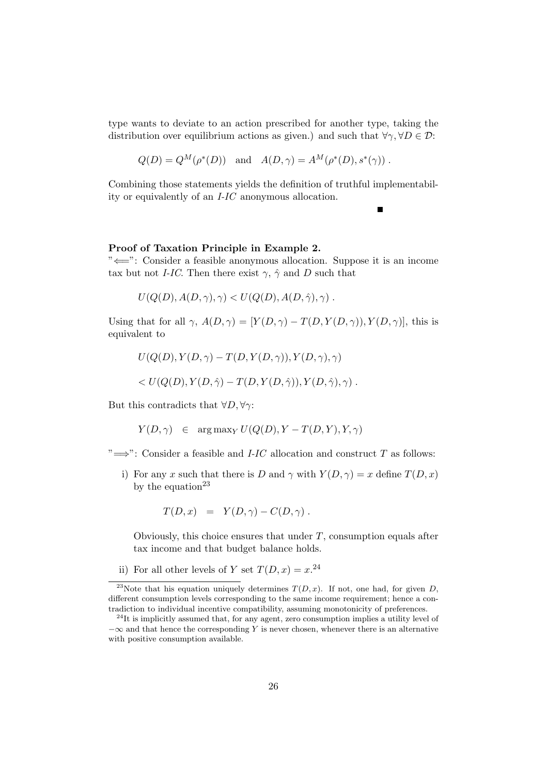type wants to deviate to an action prescribed for another type, taking the distribution over equilibrium actions as given.) and such that  $\forall \gamma, \forall D \in \mathcal{D}$ :

$$
Q(D) = Q^M(\rho^*(D))
$$
 and  $A(D, \gamma) = A^M(\rho^*(D), s^*(\gamma))$ .

Combining those statements yields the definition of truthful implementability or equivalently of an I-IC anonymous allocation.

#### Proof of Taxation Principle in Example 2.

 $\overline{\ }$ " $\leftarrow$ ": Consider a feasible anonymous allocation. Suppose it is an income tax but not *I-IC*. Then there exist  $\gamma$ ,  $\hat{\gamma}$  and *D* such that

$$
U(Q(D), A(D, \gamma), \gamma) < U(Q(D), A(D, \hat{\gamma}), \gamma) .
$$

Using that for all  $\gamma$ ,  $A(D, \gamma) = [Y(D, \gamma) - T(D, Y(D, \gamma)), Y(D, \gamma)],$  this is equivalent to

$$
U(Q(D), Y(D, \gamma) - T(D, Y(D, \gamma)), Y(D, \gamma), \gamma)
$$
  

$$
< U(Q(D), Y(D, \hat{\gamma}) - T(D, Y(D, \hat{\gamma})), Y(D, \hat{\gamma}), \gamma) .
$$

But this contradicts that  $\forall D, \forall \gamma$ :

$$
Y(D, \gamma) \in \arg \max_{Y} U(Q(D), Y - T(D, Y), Y, \gamma)
$$

" $\Longrightarrow$ ": Consider a feasible and *I-IC* allocation and construct T as follows:

i) For any x such that there is D and  $\gamma$  with  $Y(D, \gamma) = x$  define  $T(D, x)$ by the equation<sup>23</sup>

$$
T(D,x) = Y(D,\gamma) - C(D,\gamma) .
$$

Obviously, this choice ensures that under  $T$ , consumption equals after tax income and that budget balance holds.

ii) For all other levels of Y set  $T(D, x) = x^{24}$ 

<sup>&</sup>lt;sup>23</sup>Note that his equation uniquely determines  $T(D, x)$ . If not, one had, for given D, different consumption levels corresponding to the same income requirement; hence a contradiction to individual incentive compatibility, assuming monotonicity of preferences.

 $24$ It is implicitly assumed that, for any agent, zero consumption implies a utility level of  $-\infty$  and that hence the corresponding Y is never chosen, whenever there is an alternative with positive consumption available.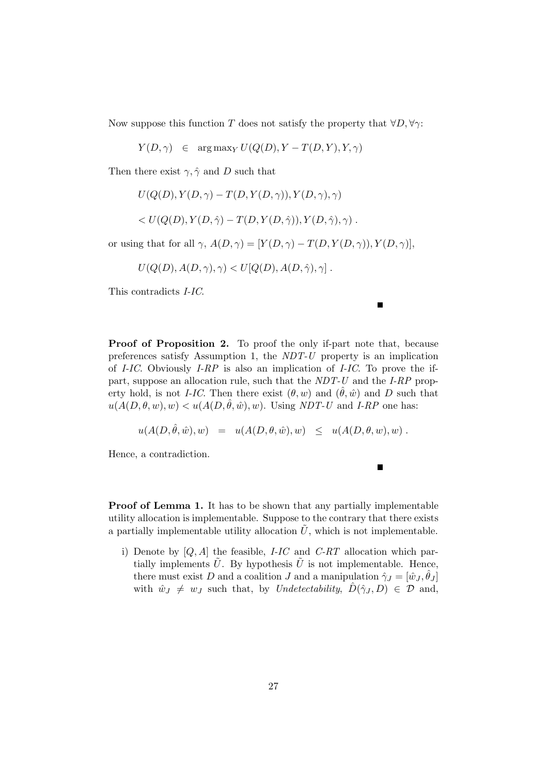Now suppose this function T does not satisfy the property that  $\forall D, \forall \gamma$ :

 $Y(D, \gamma) \in \arg \max_{Y} U(Q(D), Y - T(D, Y), Y, \gamma)$ 

Then there exist  $\gamma, \hat{\gamma}$  and D such that

$$
U(Q(D), Y(D, \gamma) - T(D, Y(D, \gamma)), Y(D, \gamma), \gamma)
$$
  

$$
< U(Q(D), Y(D, \hat{\gamma}) - T(D, Y(D, \hat{\gamma})), Y(D, \hat{\gamma}), \gamma) .
$$

or using that for all  $\gamma$ ,  $A(D, \gamma) = [Y(D, \gamma) - T(D, Y(D, \gamma)), Y(D, \gamma)],$ 

$$
U(Q(D), A(D, \gamma), \gamma) < U[Q(D), A(D, \hat{\gamma}), \gamma] \, .
$$

This contradicts I-IC.

Proof of Proposition 2. To proof the only if-part note that, because preferences satisfy Assumption 1, the NDT-U property is an implication of I-IC. Obviously I-RP is also an implication of I-IC. To prove the ifpart, suppose an allocation rule, such that the  $NDT-U$  and the I-RP property hold, is not *I-IC*. Then there exist  $(\theta, w)$  and  $(\theta, \hat{w})$  and D such that  $u(A(D, \theta, w), w) < u(A(D, \hat{\theta}, \hat{w}), w)$ . Using NDT-U and I-RP one has:

 $\blacksquare$ 

$$
u(A(D,\theta,\hat{w}),w) = u(A(D,\theta,\hat{w}),w) \leq u(A(D,\theta,w),w).
$$

Hence, a contradiction.

Proof of Lemma 1. It has to be shown that any partially implementable utility allocation is implementable. Suppose to the contrary that there exists a partially implementable utility allocation  $U$ , which is not implementable.

i) Denote by  $[Q, A]$  the feasible, *I-IC* and *C-RT* allocation which partially implements  $\tilde{U}$ . By hypothesis  $\tilde{U}$  is not implementable. Hence, there must exist D and a coalition J and a manipulation  $\hat{\gamma}_J = [\hat{w}_J, \hat{\theta}_J]$ with  $\hat{w}_J \neq w_J$  such that, by Undetectability,  $\hat{D}(\hat{\gamma}_J, D) \in \mathcal{D}$  and,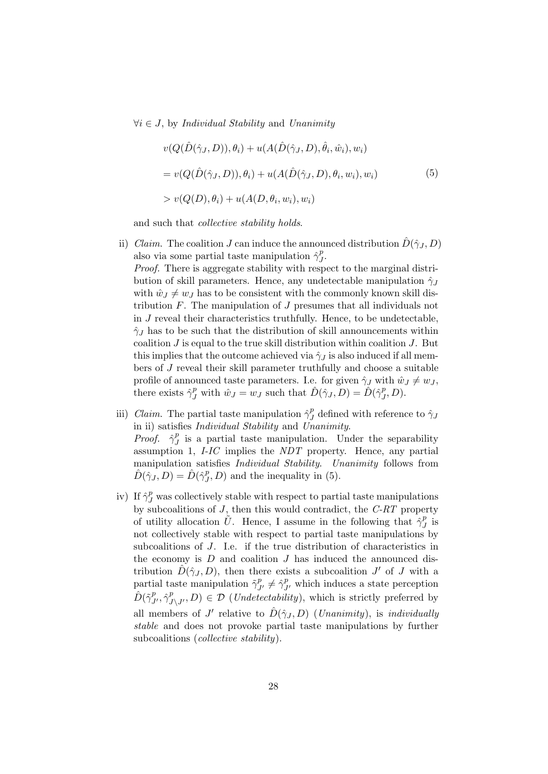$\forall i \in J$ , by *Individual Stability* and *Unanimity* 

$$
v(Q(\hat{D}(\hat{\gamma}_J, D)), \theta_i) + u(A(\hat{D}(\hat{\gamma}_J, D), \hat{\theta}_i, \hat{w}_i), w_i)
$$
  
= 
$$
v(Q(\hat{D}(\hat{\gamma}_J, D)), \theta_i) + u(A(\hat{D}(\hat{\gamma}_J, D), \theta_i, w_i), w_i)
$$
  
> 
$$
v(Q(D), \theta_i) + u(A(D, \theta_i, w_i), w_i)
$$
 (5)

and such that collective stability holds.

ii) Claim. The coalition J can induce the announced distribution  $\hat{D}(\hat{\gamma}_J, D)$ also via some partial taste manipulation  $\hat{\gamma}_{j}^{p}$  $^p_J$ .

Proof. There is aggregate stability with respect to the marginal distribution of skill parameters. Hence, any undetectable manipulation  $\hat{\gamma}_J$ with  $\hat{w}_J \neq w_J$  has to be consistent with the commonly known skill distribution  $F$ . The manipulation of  $J$  presumes that all individuals not in  $J$  reveal their characteristics truthfully. Hence, to be undetectable,  $\hat{\gamma}_J$  has to be such that the distribution of skill announcements within coalition  $J$  is equal to the true skill distribution within coalition  $J$ . But this implies that the outcome achieved via  $\hat{\gamma}_J$  is also induced if all members of J reveal their skill parameter truthfully and choose a suitable profile of announced taste parameters. I.e. for given  $\hat{\gamma}_J$  with  $\hat{w}_J \neq w_J$ , there exists  $\hat{\gamma}_J^p$  with  $\hat{w}_J = w_J$  such that  $\hat{D}(\hat{\gamma}_J, D) = \hat{D}(\hat{\gamma}_J^p)$  $_{J}^{p},D).$ 

- iii) *Claim.* The partial taste manipulation  $\hat{\gamma}_{j}^{p}$  $J<sup>p</sup>$  defined with reference to  $\hat{\gamma}_J$ in ii) satisfies Individual Stability and Unanimity. Proof.  $\hat{\gamma}_J^p$  $J<sup>p</sup>$  is a partial taste manipulation. Under the separability assumption 1, I-IC implies the NDT property. Hence, any partial manipulation satisfies Individual Stability. Unanimity follows from  $\hat{D}(\hat{\gamma}_J, D) = \hat{D}(\hat{\gamma}^p_J)$  $_J^p$ , D) and the inequality in (5).
- iv) If  $\hat{\gamma}^p_J$  was collectively stable with respect to partial taste manipulations by subcoalitions of  $J$ , then this would contradict, the  $C-RT$  property of utility allocation  $\tilde{U}$ . Hence, I assume in the following that  $\hat{\gamma}_{j}^{p}$  $j^p$  is not collectively stable with respect to partial taste manipulations by subcoalitions of J. I.e. if the true distribution of characteristics in the economy is  $D$  and coalition  $J$  has induced the announced distribution  $\hat{D}(\hat{\gamma}_J, D)$ , then there exists a subcoalition  $J'$  of  $J$  with a partial taste manipulation  $\tilde{\gamma}_{J'}^p \neq \hat{\gamma}_{J'}^p$  which induces a state perception  $\hat{D}(\tilde{\gamma}_{J'}^p, \hat{\gamma}_{J}^p$  $(\mathcal{J}_{\mathcal{J}\setminus J'}, D) \in \mathcal{D}$  (*Undetectability*), which is strictly preferred by all members of J' relative to  $\hat{D}(\hat{\gamma}_J, D)$  (Unanimity), is individually stable and does not provoke partial taste manipulations by further subcoalitions (*collective stability*).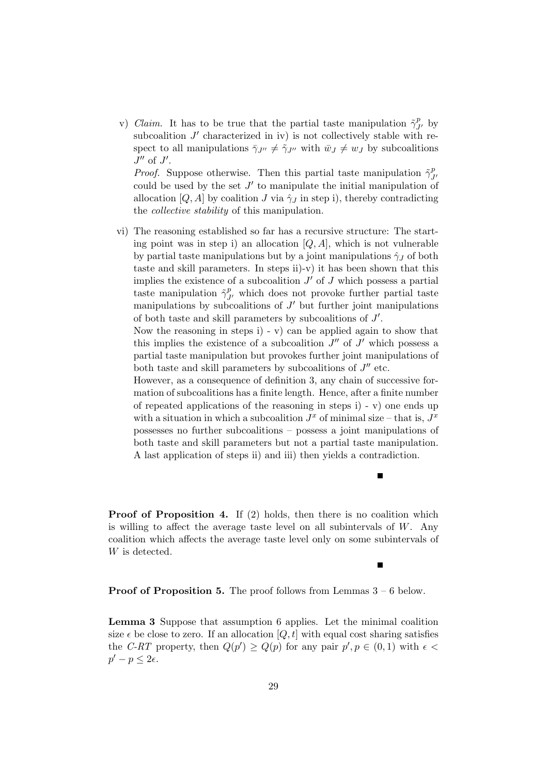v) *Claim*. It has to be true that the partial taste manipulation  $\tilde{\gamma}_{J'}^p$  by subcoalition  $J'$  characterized in iv) is not collectively stable with respect to all manipulations  $\bar{\gamma}_{J''} \neq \tilde{\gamma}_{J''}$  with  $\bar{w}_J \neq w_J$  by subcoalitions  $J''$  of  $J'$ .

*Proof.* Suppose otherwise. Then this partial taste manipulation  $\tilde{\gamma}_i^p$  $J'$ could be used by the set  $J'$  to manipulate the initial manipulation of allocation [Q, A] by coalition J via  $\hat{\gamma}_I$  in step i), thereby contradicting the collective stability of this manipulation.

vi) The reasoning established so far has a recursive structure: The starting point was in step i) an allocation  $[Q, A]$ , which is not vulnerable by partial taste manipulations but by a joint manipulations  $\hat{\gamma}_J$  of both taste and skill parameters. In steps ii)-v) it has been shown that this implies the existence of a subcoalition  $J'$  of  $J$  which possess a partial taste manipulation  $\tilde{\gamma}_{J'}^p$  which does not provoke further partial taste manipulations by subcoalitions of  $J'$  but further joint manipulations of both taste and skill parameters by subcoalitions of  $J'$ .

Now the reasoning in steps  $i$ ) - v) can be applied again to show that this implies the existence of a subcoalition  $J''$  of  $J'$  which possess a partial taste manipulation but provokes further joint manipulations of both taste and skill parameters by subcoalitions of  $J''$  etc.

However, as a consequence of definition 3, any chain of successive formation of subcoalitions has a finite length. Hence, after a finite number of repeated applications of the reasoning in steps i) - v) one ends up with a situation in which a subcoalition  $J^x$  of minimal size – that is,  $J^x$ possesses no further subcoalitions – possess a joint manipulations of both taste and skill parameters but not a partial taste manipulation. A last application of steps ii) and iii) then yields a contradiction.

Proof of Proposition 4. If (2) holds, then there is no coalition which is willing to affect the average taste level on all subintervals of  $W$ . Any coalition which affects the average taste level only on some subintervals of W is detected.

#### Proof of Proposition 5. The proof follows from Lemmas  $3 - 6$  below.

Lemma 3 Suppose that assumption 6 applies. Let the minimal coalition size  $\epsilon$  be close to zero. If an allocation  $[Q, t]$  with equal cost sharing satisfies the C-RT property, then  $Q(p') \geq Q(p)$  for any pair  $p', p \in (0, 1)$  with  $\epsilon$  $p'-p\leq 2\epsilon.$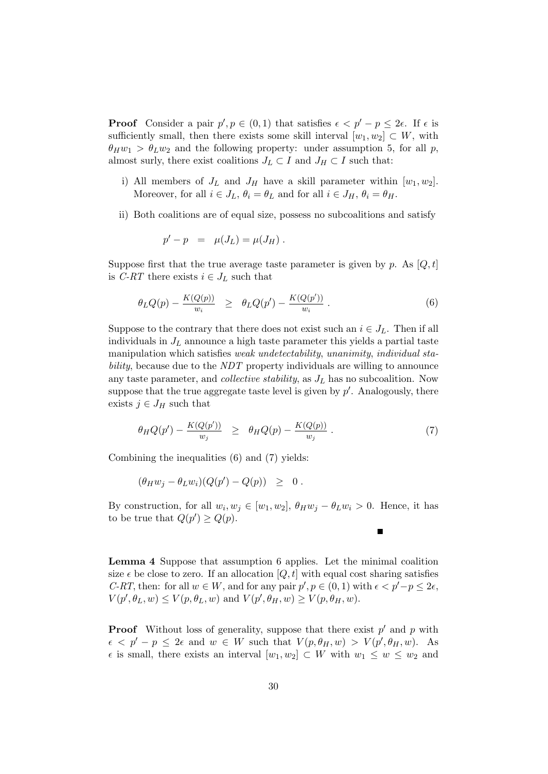**Proof** Consider a pair  $p', p \in (0, 1)$  that satisfies  $\epsilon < p' - p \leq 2\epsilon$ . If  $\epsilon$  is sufficiently small, then there exists some skill interval  $[w_1, w_2] \subset W$ , with  $\theta_H w_1 > \theta_L w_2$  and the following property: under assumption 5, for all p, almost surly, there exist coalitions  $J_L \subset I$  and  $J_H \subset I$  such that:

- i) All members of  $J_L$  and  $J_H$  have a skill parameter within  $[w_1, w_2]$ . Moreover, for all  $i \in J_L$ ,  $\theta_i = \theta_L$  and for all  $i \in J_H$ ,  $\theta_i = \theta_H$ .
- ii) Both coalitions are of equal size, possess no subcoalitions and satisfy

$$
p'-p = \mu(J_L) = \mu(J_H) .
$$

Suppose first that the true average taste parameter is given by p. As  $[Q, t]$ is C-RT there exists  $i \in J_L$  such that

$$
\theta_L Q(p) - \frac{K(Q(p))}{w_i} \geq \theta_L Q(p') - \frac{K(Q(p'))}{w_i} \,. \tag{6}
$$

Suppose to the contrary that there does not exist such an  $i \in J_L$ . Then if all individuals in  $J_L$  announce a high taste parameter this yields a partial taste manipulation which satisfies *weak undetectability*, *unanimity*, *individual sta*bility, because due to the NDT property individuals are willing to announce any taste parameter, and *collective stability*, as  $J_L$  has no subcoalition. Now suppose that the true aggregate taste level is given by  $p'$ . Analogously, there exists  $j \in J_H$  such that

$$
\theta_H Q(p') - \frac{K(Q(p'))}{w_j} \geq \theta_H Q(p) - \frac{K(Q(p))}{w_j} \,. \tag{7}
$$

Combining the inequalities (6) and (7) yields:

$$
(\theta_H w_j - \theta_L w_i)(Q(p') - Q(p)) \geq 0.
$$

By construction, for all  $w_i, w_j \in [w_1, w_2], \theta_H w_j - \theta_L w_i > 0$ . Hence, it has to be true that  $Q(p') \geq Q(p)$ .

Lemma 4 Suppose that assumption 6 applies. Let the minimal coalition size  $\epsilon$  be close to zero. If an allocation  $[Q, t]$  with equal cost sharing satisfies *C-RT*, then: for all  $w \in W$ , and for any pair  $p', p \in (0, 1)$  with  $\epsilon < p'-p \leq 2\epsilon$ ,  $V(p', \theta_L, w) \le V(p, \theta_L, w)$  and  $V(p', \theta_H, w) \ge V(p, \theta_H, w)$ .

**Proof** Without loss of generality, suppose that there exist  $p'$  and  $p$  with  $\epsilon \leq p'-p \leq 2\epsilon$  and  $w \in W$  such that  $V(p, \theta_H, w) > V(p', \theta_H, w)$ . As  $\epsilon$  is small, there exists an interval  $[w_1, w_2] \subset W$  with  $w_1 \leq w \leq w_2$  and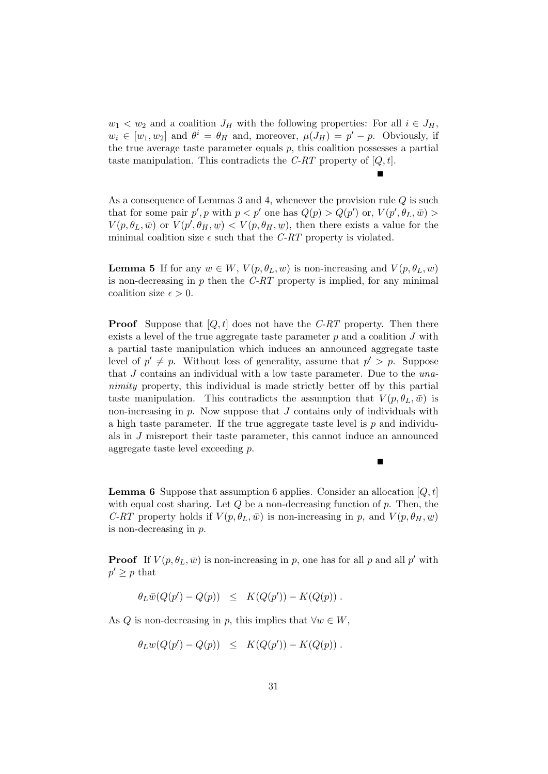$w_1 < w_2$  and a coalition  $J_H$  with the following properties: For all  $i \in J_H$ ,  $w_i \in [w_1, w_2]$  and  $\theta^i = \theta_H$  and, moreover,  $\mu(J_H) = p' - p$ . Obviously, if the true average taste parameter equals  $p$ , this coalition possesses a partial taste manipulation. This contradicts the C-RT property of  $[Q, t]$ .

 $\blacksquare$ 

As a consequence of Lemmas 3 and 4, whenever the provision rule  $Q$  is such that for some pair  $p', p$  with  $p < p'$  one has  $Q(p) > Q(p')$  or,  $V(p', \theta_L, \bar{w}) >$  $V(p, \theta_L, \bar{w})$  or  $V(p', \theta_H, \underline{w}) < V(p, \theta_H, \underline{w})$ , then there exists a value for the minimal coalition size  $\epsilon$  such that the C-RT property is violated.

**Lemma 5** If for any  $w \in W$ ,  $V(p, \theta_L, w)$  is non-increasing and  $V(p, \theta_L, w)$ is non-decreasing in  $p$  then the  $C-RT$  property is implied, for any minimal coalition size  $\epsilon > 0$ .

**Proof** Suppose that  $[Q, t]$  does not have the C-RT property. Then there exists a level of the true aggregate taste parameter  $p$  and a coalition  $J$  with a partial taste manipulation which induces an announced aggregate taste level of  $p' \neq p$ . Without loss of generality, assume that  $p' > p$ . Suppose that J contains an individual with a low taste parameter. Due to the unanimity property, this individual is made strictly better off by this partial taste manipulation. This contradicts the assumption that  $V(p, \theta_L, \bar{w})$  is non-increasing in  $p$ . Now suppose that  $J$  contains only of individuals with a high taste parameter. If the true aggregate taste level is p and individuals in J misreport their taste parameter, this cannot induce an announced aggregate taste level exceeding p.

**Lemma 6** Suppose that assumption 6 applies. Consider an allocation  $[Q, t]$ with equal cost sharing. Let  $Q$  be a non-decreasing function of  $p$ . Then, the C-RT property holds if  $V(p, \theta_L, \bar{w})$  is non-increasing in p, and  $V(p, \theta_H, \bar{w})$ is non-decreasing in p.

**Proof** If  $V(p, \theta_L, \bar{w})$  is non-increasing in p, one has for all p and all p' with  $p' \geq p$  that

$$
\theta_L \overline{w}(Q(p') - Q(p)) \leq K(Q(p')) - K(Q(p)) .
$$

As Q is non-decreasing in p, this implies that  $\forall w \in W$ ,

$$
\theta_L w(Q(p') - Q(p)) \leq K(Q(p')) - K(Q(p)).
$$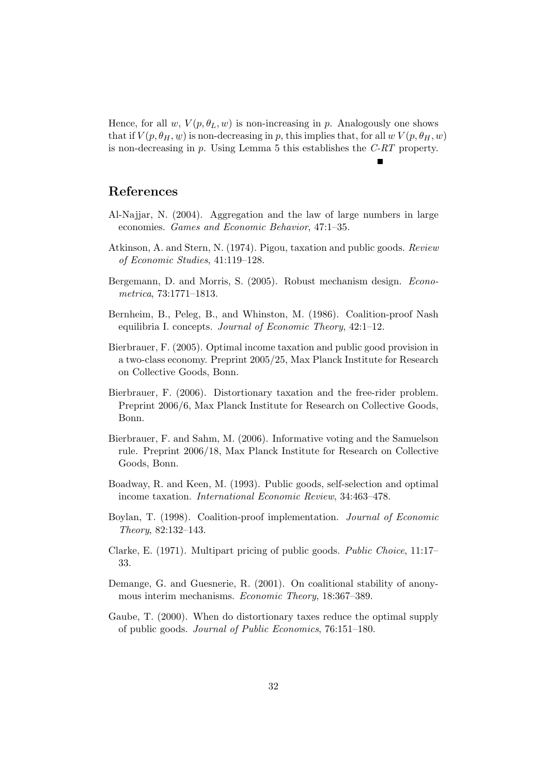Hence, for all w,  $V(p, \theta_L, w)$  is non-increasing in p. Analogously one shows that if  $V(p, \theta_H, w)$  is non-decreasing in p, this implies that, for all  $w V(p, \theta_H, w)$ is non-decreasing in p. Using Lemma 5 this establishes the  $C-RT$  property.

#### References

- Al-Najjar, N. (2004). Aggregation and the law of large numbers in large economies. Games and Economic Behavior, 47:1–35.
- Atkinson, A. and Stern, N. (1974). Pigou, taxation and public goods. Review of Economic Studies, 41:119–128.
- Bergemann, D. and Morris, S. (2005). Robust mechanism design. Econometrica, 73:1771–1813.
- Bernheim, B., Peleg, B., and Whinston, M. (1986). Coalition-proof Nash equilibria I. concepts. Journal of Economic Theory, 42:1–12.
- Bierbrauer, F. (2005). Optimal income taxation and public good provision in a two-class economy. Preprint 2005/25, Max Planck Institute for Research on Collective Goods, Bonn.
- Bierbrauer, F. (2006). Distortionary taxation and the free-rider problem. Preprint 2006/6, Max Planck Institute for Research on Collective Goods, Bonn.
- Bierbrauer, F. and Sahm, M. (2006). Informative voting and the Samuelson rule. Preprint 2006/18, Max Planck Institute for Research on Collective Goods, Bonn.
- Boadway, R. and Keen, M. (1993). Public goods, self-selection and optimal income taxation. International Economic Review, 34:463–478.
- Boylan, T. (1998). Coalition-proof implementation. Journal of Economic Theory, 82:132–143.
- Clarke, E. (1971). Multipart pricing of public goods. Public Choice, 11:17– 33.
- Demange, G. and Guesnerie, R. (2001). On coalitional stability of anonymous interim mechanisms. Economic Theory, 18:367–389.
- Gaube, T. (2000). When do distortionary taxes reduce the optimal supply of public goods. Journal of Public Economics, 76:151–180.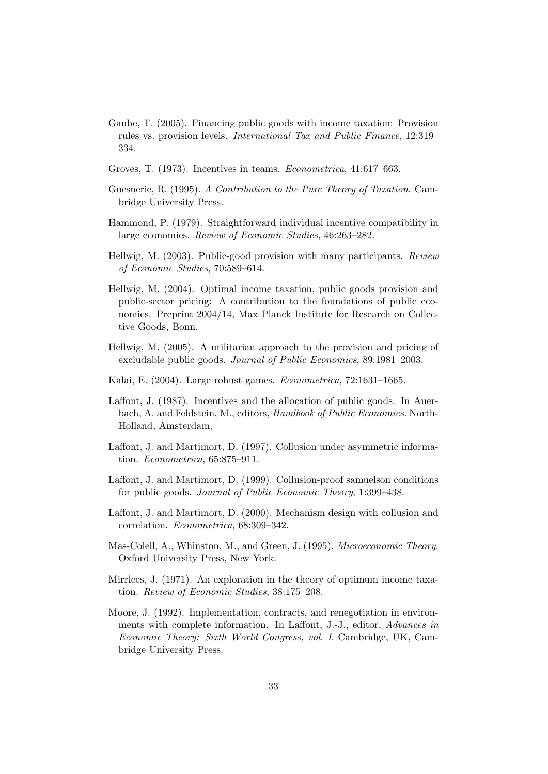- Gaube, T. (2005). Financing public goods with income taxation: Provision rules vs. provision levels. International Tax and Public Finance, 12:319– 334.
- Groves, T. (1973). Incentives in teams. Econometrica, 41:617–663.
- Guesnerie, R. (1995). A Contribution to the Pure Theory of Taxation. Cambridge University Press.
- Hammond, P. (1979). Straightforward individual incentive compatibility in large economies. Review of Economic Studies, 46:263–282.
- Hellwig, M. (2003). Public-good provision with many participants. Review of Economic Studies, 70:589–614.
- Hellwig, M. (2004). Optimal income taxation, public goods provision and public-sector pricing: A contribution to the foundations of public economics. Preprint 2004/14, Max Planck Institute for Research on Collective Goods, Bonn.
- Hellwig, M. (2005). A utilitarian approach to the provision and pricing of excludable public goods. Journal of Public Economics, 89:1981–2003.
- Kalai, E. (2004). Large robust games. Econometrica, 72:1631–1665.
- Laffont, J. (1987). Incentives and the allocation of public goods. In Auerbach, A. and Feldstein, M., editors, Handbook of Public Economics. North-Holland, Amsterdam.
- Laffont, J. and Martimort, D. (1997). Collusion under asymmetric information. Econometrica, 65:875–911.
- Laffont, J. and Martimort, D. (1999). Collusion-proof samuelson conditions for public goods. Journal of Public Economic Theory, 1:399–438.
- Laffont, J. and Martimort, D. (2000). Mechanism design with collusion and correlation. Econometrica, 68:309–342.
- Mas-Colell, A., Whinston, M., and Green, J. (1995). Microeconomic Theory. Oxford University Press, New York.
- Mirrlees, J. (1971). An exploration in the theory of optimum income taxation. Review of Economic Studies, 38:175–208.
- Moore, J. (1992). Implementation, contracts, and renegotiation in environments with complete information. In Laffont, J.-J., editor, Advances in Economic Theory: Sixth World Congress, vol. I. Cambridge, UK, Cambridge University Press.